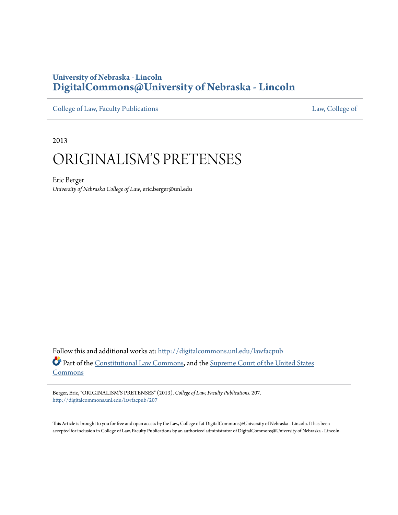## **University of Nebraska - Lincoln [DigitalCommons@University of Nebraska - Lincoln](http://digitalcommons.unl.edu?utm_source=digitalcommons.unl.edu%2Flawfacpub%2F207&utm_medium=PDF&utm_campaign=PDFCoverPages)**

[College of Law, Faculty Publications](http://digitalcommons.unl.edu/lawfacpub?utm_source=digitalcommons.unl.edu%2Flawfacpub%2F207&utm_medium=PDF&utm_campaign=PDFCoverPages) [Law, College of](http://digitalcommons.unl.edu/law?utm_source=digitalcommons.unl.edu%2Flawfacpub%2F207&utm_medium=PDF&utm_campaign=PDFCoverPages) Law, College of

2013

# ORIGINALISM'S PRETENSES

Eric Berger *University of Nebraska College of Law*, eric.berger@unl.edu

Follow this and additional works at: [http://digitalcommons.unl.edu/lawfacpub](http://digitalcommons.unl.edu/lawfacpub?utm_source=digitalcommons.unl.edu%2Flawfacpub%2F207&utm_medium=PDF&utm_campaign=PDFCoverPages) Part of the [Constitutional Law Commons,](http://network.bepress.com/hgg/discipline/589?utm_source=digitalcommons.unl.edu%2Flawfacpub%2F207&utm_medium=PDF&utm_campaign=PDFCoverPages) and the [Supreme Court of the United States](http://network.bepress.com/hgg/discipline/1350?utm_source=digitalcommons.unl.edu%2Flawfacpub%2F207&utm_medium=PDF&utm_campaign=PDFCoverPages) [Commons](http://network.bepress.com/hgg/discipline/1350?utm_source=digitalcommons.unl.edu%2Flawfacpub%2F207&utm_medium=PDF&utm_campaign=PDFCoverPages)

Berger, Eric, "ORIGINALISM'S PRETENSES" (2013). *College of Law, Faculty Publications*. 207. [http://digitalcommons.unl.edu/lawfacpub/207](http://digitalcommons.unl.edu/lawfacpub/207?utm_source=digitalcommons.unl.edu%2Flawfacpub%2F207&utm_medium=PDF&utm_campaign=PDFCoverPages)

This Article is brought to you for free and open access by the Law, College of at DigitalCommons@University of Nebraska - Lincoln. It has been accepted for inclusion in College of Law, Faculty Publications by an authorized administrator of DigitalCommons@University of Nebraska - Lincoln.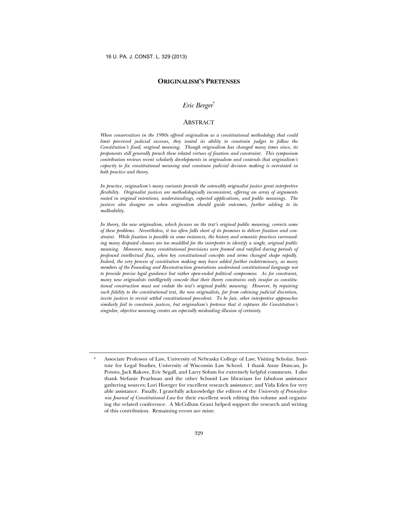#### **ORIGINALISM'S PRETENSES**

#### *Eric Berger*<sup>∗</sup>

#### ABSTRACT

*When conservatives in the 1980s offered originalism as a constitutional methodology that could limit perceived judicial excesses, they touted its ability to constrain judges to follow the Constitution's fixed, original meaning. Though originalism has changed many times since, its proponents still generally preach these related virtues of fixation and constraint. This symposium contribution reviews recent scholarly developments in originalism and contends that originalism's capacity to fix constitutional meaning and constrain judicial decision making is overstated in both practice and theory.* 

*In practice, originalism's many variants provide the ostensibly originalist justice great interpretive flexibility. Originalist justices are methodologically inconsistent, offering an array of arguments rooted in original intentions, understandings, expected applications, and public meanings. The justices also disagree on when originalism should guide outcomes, further adding to its malleability.* 

*In theory, the new originalism, which focuses on the text's original public meaning, corrects some of these problems. Nevertheless, it too often falls short of its promises to deliver fixation and constraint. While fixation is possible in some instances, the history and semantic practices surrounding many disputed clauses are too muddled for the interpreter to identify a single, original public meaning. Moreover, many constitutional provisions were framed and ratified during periods of profound intellectual flux, when key constitutional concepts and terms changed shape rapidly. Indeed, the very process of constitution making may have added further indeterminacy, as many members of the Founding and Reconstruction generations understood constitutional language not to provide precise legal guidance but rather open-ended political compromise. As for constraint, many new originalists intelligently concede that their theory constrains only insofar as constitutional construction must not violate the text's original public meaning. However, by requiring such fidelity to the constitutional text, the new originalists, far from cabining judicial discretion, invite justices to revisit settled constitutional precedent. To be fair, other interpretive approaches similarly fail to constrain justices, but originalism's pretense that it captures the Constitution's singular, objective meaning creates an especially misleading illusion of certainty.* 

<sup>∗</sup> Associate Professor of Law, University of Nebraska College of Law; Visiting Scholar, Institute for Legal Studies, University of Wisconsin Law School. I thank Anne Duncan, Jo Potuto, Jack Rakove, Eric Segall, and Larry Solum for extremely helpful comments. I also thank Stefanie Pearlman and the other Schmid Law librarians for fabulous assistance gathering sources; Lori Hoetger for excellent research assistance; and Vida Eden for very able assistance. Finally, I gratefully acknowledge the editors of the *University of Pennsylvania Journal of Constitutional Law* for their excellent work editing this volume and organizing the related conference. A McCollum Grant helped support the research and writing of this contribution. Remaining errors are mine.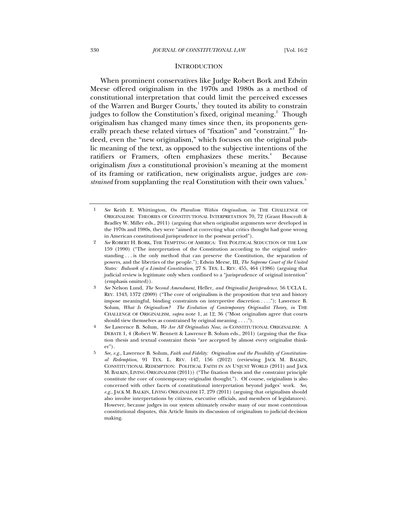#### **INTRODUCTION**

When prominent conservatives like Judge Robert Bork and Edwin Meese offered originalism in the 1970s and 1980s as a method of constitutional interpretation that could limit the perceived excesses of the Warren and Burger Courts,<sup>1</sup> they touted its ability to constrain judges to follow the Constitution's fixed, original meaning.<sup>2</sup> Though originalism has changed many times since then, its proponents generally preach these related virtues of "fixation" and "constraint."<sup>3</sup> Indeed, even the "new originalism," which focuses on the original public meaning of the text, as opposed to the subjective intentions of the ratifiers or Framers, often emphasizes these merits.<sup>4</sup> Because originalism *fixes* a constitutional provision's meaning at the moment of its framing or ratification, new originalists argue, judges are *constrained* from supplanting the real Constitution with their own values.<sup>5</sup>

<sup>1</sup> *See* Keith E. Whittington, *On Pluralism Within Originalism*, *in* THE CHALLENGE OF ORIGINALISM: THEORIES OF CONSTITUTIONAL INTERPRETATION 70, 72 (Grant Huscroft & Bradley W. Miller eds., 2011) (arguing that when originalist arguments were developed in the 1970s and 1980s, they were "aimed at correcting what critics thought had gone wrong in American constitutional jurisprudence in the postwar period").

<sup>2</sup> *See* ROBERT H. BORK, THE TEMPTING OF AMERICA: THE POLITICAL SEDUCTION OF THE LAW 159 (1990) ("The interpretation of the Constitution according to the original understanding . . . is the only method that can preserve the Constitution, the separation of powers, and the liberties of the people."); Edwin Meese, III, *The Supreme Court of the United States: Bulwark of a Limited Constitution*, 27 S. TEX. L. REV. 455, 464 (1986) (arguing that judicial review is legitimate only when confined to a "jurisprudence of original intention" (emphasis omitted)).

<sup>3</sup> *See* Nelson Lund, *The Second Amendment,* Heller*, and Originalist Jurisprudence*, 56 UCLA L. REV. 1343, 1372 (2009) ("The core of originalism is the proposition that text and history impose meaningful, binding constraints on interpretive discretion . . . ."); Lawrence B. Solum, *What Is Originalism? The Evolution of Contemporary Originalist Theory*, *in* THE CHALLENGE OF ORIGINALISM, *supra* note 1, at 12, 36 ("Most originalists agree that courts should view themselves as constrained by original meaning . . . .").

<sup>4</sup> *See* Lawrence B. Solum, *We Are All Originalists Now*, *in* CONSTITUTIONAL ORIGINALISM: A DEBATE 1, 4 (Robert W. Bennett & Lawrence B. Solum eds., 2011) (arguing that the fixation thesis and textual constraint thesis "are accepted by almost every originalist thinker").

<sup>5</sup> *See, e.g.*, Lawrence B. Solum, *Faith and Fidelity: Originalism and the Possibility of Constitutional Redemption*, 91 TEX. L. REV. 147, 156 (2012) (reviewing JACK M. BALKIN, CONSTITUTIONAL REDEMPTION: POLITICAL FAITH IN AN UNJUST WORLD (2011) and JACK M. BALKIN, LIVING ORIGINALISM (2011)) ("The fixation thesis and the constraint principle constitute the core of contemporary originalist thought."). Of course, originalism is also concerned with other facets of constitutional interpretation beyond judges' work. *See, e.g.*, JACK M. BALKIN, LIVING ORIGINALISM 17, 279 (2011) (arguing that originalism should also involve interpretations by citizens, executive officials, and members of legislatures). However, because judges in our system ultimately resolve many of our most contentious constitutional disputes, this Article limits its discussion of originalism to judicial decision making.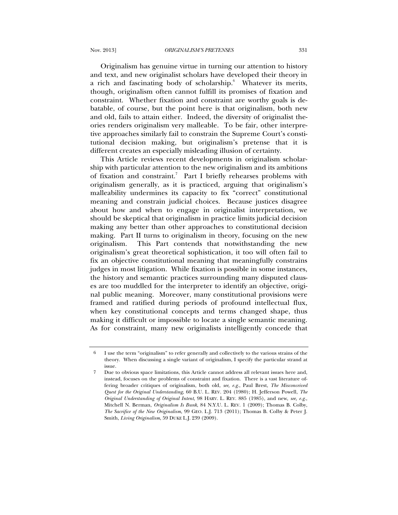Originalism has genuine virtue in turning our attention to history and text, and new originalist scholars have developed their theory in a rich and fascinating body of scholarship.<sup>6</sup> Whatever its merits, though, originalism often cannot fulfill its promises of fixation and constraint. Whether fixation and constraint are worthy goals is debatable, of course, but the point here is that originalism, both new and old, fails to attain either. Indeed, the diversity of originalist theories renders originalism very malleable. To be fair, other interpretive approaches similarly fail to constrain the Supreme Court's constitutional decision making, but originalism's pretense that it is different creates an especially misleading illusion of certainty.

This Article reviews recent developments in originalism scholarship with particular attention to the new originalism and its ambitions of fixation and constraint.<sup>7</sup> Part I briefly rehearses problems with originalism generally, as it is practiced, arguing that originalism's malleability undermines its capacity to fix "correct" constitutional meaning and constrain judicial choices. Because justices disagree about how and when to engage in originalist interpretation, we should be skeptical that originalism in practice limits judicial decision making any better than other approaches to constitutional decision making. Part II turns to originalism in theory, focusing on the new originalism. This Part contends that notwithstanding the new originalism's great theoretical sophistication, it too will often fail to fix an objective constitutional meaning that meaningfully constrains judges in most litigation. While fixation is possible in some instances, the history and semantic practices surrounding many disputed clauses are too muddled for the interpreter to identify an objective, original public meaning. Moreover, many constitutional provisions were framed and ratified during periods of profound intellectual flux, when key constitutional concepts and terms changed shape, thus making it difficult or impossible to locate a single semantic meaning. As for constraint, many new originalists intelligently concede that

<sup>6</sup> I use the term "originalism" to refer generally and collectively to the various strains of the theory. When discussing a single variant of originalism, I specify the particular strand at issue.

<sup>7</sup> Due to obvious space limitations, this Article cannot address all relevant issues here and, instead, focuses on the problems of constraint and fixation. There is a vast literature offering broader critiques of originalism, both old, *see, e.g.*, Paul Brest, *The Misconceived Quest for the Original Understanding*, 60 B.U. L. REV. 204 (1980); H. Jefferson Powell, *The Original Understanding of Original Intent*, 98 HARV. L. REV. 885 (1985), and new, *see, e.g.*, Mitchell N. Berman, *Originalism Is Bunk*, 84 N.Y.U. L. REV. 1 (2009); Thomas B. Colby, *The Sacrifice of the New Originalism*, 99 GEO. L.J. 713 (2011); Thomas B. Colby & Peter J. Smith, *Living Originalism*, 59 DUKE L.J. 239 (2009).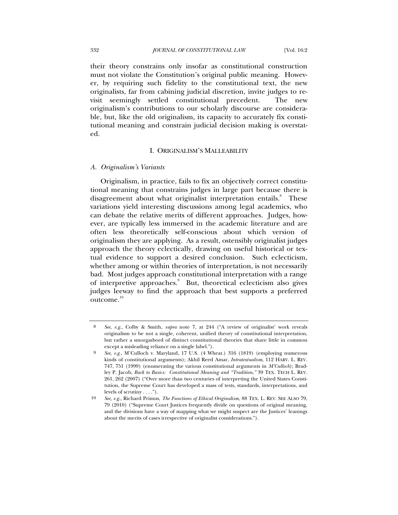their theory constrains only insofar as constitutional construction must not violate the Constitution's original public meaning. However, by requiring such fidelity to the constitutional text, the new originalists, far from cabining judicial discretion, invite judges to revisit seemingly settled constitutional precedent. The new originalism's contributions to our scholarly discourse are considerable, but, like the old originalism, its capacity to accurately fix constitutional meaning and constrain judicial decision making is overstated.

### I. ORIGINALISM'S MALLEABILITY

#### *A. Originalism's Variants*

Originalism, in practice, fails to fix an objectively correct constitutional meaning that constrains judges in large part because there is disagreement about what originalist interpretation entails.<sup>8</sup> These variations yield interesting discussions among legal academics, who can debate the relative merits of different approaches. Judges, however, are typically less immersed in the academic literature and are often less theoretically self-conscious about which version of originalism they are applying. As a result, ostensibly originalist judges approach the theory eclectically, drawing on useful historical or textual evidence to support a desired conclusion. Such eclecticism, whether among or within theories of interpretation, is not necessarily bad. Most judges approach constitutional interpretation with a range of interpretive approaches.<sup>9</sup> But, theoretical eclecticism also gives judges leeway to find the approach that best supports a preferred outcome.<sup>10</sup>

<sup>8</sup> *See, e.g.*, Colby & Smith, *supra* note 7, at 244 ("A review of originalist' work reveals originalism to be not a single, coherent, unified theory of constitutional interpretation, but rather a smorgasbord of distinct constitutional theories that share little in common except a misleading reliance on a single label.").

<sup>9</sup> *See, e.g.*, M'Culloch v. Maryland, 17 U.S. (4 Wheat.) 316 (1819) (employing numerous kinds of constitutional arguments); Akhil Reed Amar, *Intratextualism*, 112 HARV. L. REV. 747, 751 (1999) (enumerating the various constitutional arguments in *M'Culloch*); Bradley P. Jacob, *Back to Basics: Constitutional Meaning and "Tradition*,*"* 39 TEX. TECH L. REV. 261, 262 (2007) ("Over more than two centuries of interpreting the United States Constitution, the Supreme Court has developed a mass of tests, standards, interpretations, and levels of scrutiny . . . .").

<sup>10</sup> *See, e.g.*, Richard Primus, *The Functions of Ethical Originalism*, 88 TEX. L. REV. SEE ALSO 79, 79 (2010) ("Supreme Court Justices frequently divide on questions of original meaning, and the divisions have a way of mapping what we might suspect are the Justices' leanings about the merits of cases irrespective of originalist considerations.").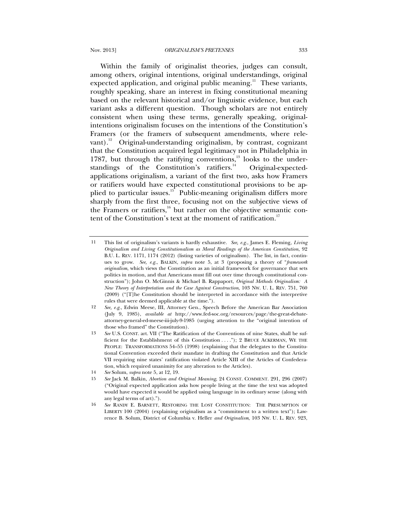Within the family of originalist theories, judges can consult, among others, original intentions, original understandings, original expected application, and original public meaning.<sup>11</sup> These variants, roughly speaking, share an interest in fixing constitutional meaning based on the relevant historical and/or linguistic evidence, but each variant asks a different question. Though scholars are not entirely consistent when using these terms, generally speaking, originalintentions originalism focuses on the intentions of the Constitution's Framers (or the framers of subsequent amendments, where relevant).<sup>12</sup> Original-understanding originalism, by contrast, cognizant that the Constitution acquired legal legitimacy not in Philadelphia in 1787, but through the ratifying conventions, $13$  looks to the understandings of the Constitution's ratifiers.<sup>14</sup> Original-expectedapplications originalism, a variant of the first two, asks how Framers or ratifiers would have expected constitutional provisions to be applied to particular issues. $15$  Public-meaning originalism differs more sharply from the first three, focusing not on the subjective views of the Framers or ratifiers, $16$  but rather on the objective semantic content of the Constitution's text at the moment of ratification.<sup>17</sup>

<sup>11</sup> This list of originalism's variants is hardly exhaustive. *See, e.g.*, James E. Fleming, *Living Originalism and Living Constitutionalism as Moral Readings of the American Constitution*, 92 B.U. L. REV. 1171, 1174 (2012) (listing varieties of originalism). The list, in fact, continues to grow. *See, e.g.*, BALKIN, *supra* note 5, at 3 (proposing a theory of "*framework originalism*, which views the Constitution as an initial framework for governance that sets politics in motion, and that Americans must fill out over time through constitutional construction"); John O. McGinnis & Michael B. Rappaport, *Original Methods Originalism: A New Theory of Interpretation and the Case Against Construction*, 103 NW. U. L. REV. 751, 760 (2009) ("[T]he Constitution should be interpreted in accordance with the interpretive rules that were deemed applicable at the time.").

<sup>12</sup> *See, e.g.*, Edwin Meese, III, Attorney Gen., Speech Before the American Bar Association (July 9, 1985), *available at* http://www.fed-soc.org/resources/page/the-great-debateattorney-general-ed-meese-iii-july-9-1985 (urging attention to the "original intention of those who framed" the Constitution).

<sup>13</sup> *See* U.S. CONST. art. VII ("The Ratification of the Conventions of nine States, shall be sufficient for the Establishment of this Constitution . . . ."); 2 BRUCE ACKERMAN, WE THE PEOPLE: TRANSFORMATIONS 54-55 (1998) (explaining that the delegates to the Constitutional Convention exceeded their mandate in drafting the Constitution and that Article VII requiring nine states' ratification violated Article XIII of the Articles of Confederation, which required unanimity for any alteration to the Articles).

<sup>14</sup> *See* Solum, *supra* note 5, at 12, 19.

<sup>15</sup> *See* Jack M. Balkin, *Abortion and Original Meaning*, 24 CONST. COMMENT. 291, 296 (2007) ("Original expected application asks how people living at the time the text was adopted would have expected it would be applied using language in its ordinary sense (along with any legal terms of art).").

<sup>16</sup> *See* RANDY E. BARNETT, RESTORING THE LOST CONSTITUTION: THE PRESUMPTION OF LIBERTY 100 (2004) (explaining originalism as a "commitment to a written text"); Lawrence B. Solum, District of Columbia v. Heller *and Originalism*, 103 NW. U. L. REV. 923,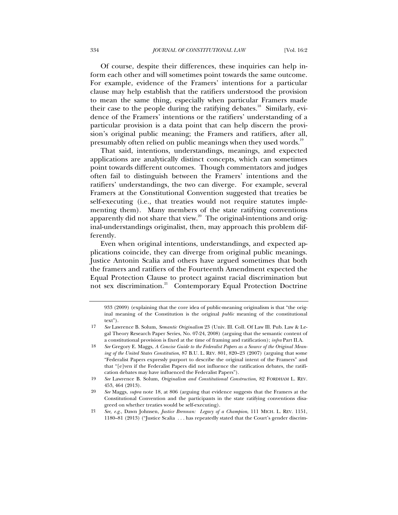Of course, despite their differences, these inquiries can help inform each other and will sometimes point towards the same outcome. For example, evidence of the Framers' intentions for a particular clause may help establish that the ratifiers understood the provision to mean the same thing, especially when particular Framers made their case to the people during the ratifying debates.<sup>18</sup> Similarly, evidence of the Framers' intentions or the ratifiers' understanding of a particular provision is a data point that can help discern the provision's original public meaning; the Framers and ratifiers, after all, presumably often relied on public meanings when they used words.<sup>19</sup>

That said, intentions, understandings, meanings, and expected applications are analytically distinct concepts, which can sometimes point towards different outcomes. Though commentators and judges often fail to distinguish between the Framers' intentions and the ratifiers' understandings, the two can diverge. For example, several Framers at the Constitutional Convention suggested that treaties be self-executing (i.e., that treaties would not require statutes implementing them). Many members of the state ratifying conventions apparently did not share that view.<sup>20</sup> The original-intentions and original-understandings originalist, then, may approach this problem differently.

Even when original intentions, understandings, and expected applications coincide, they can diverge from original public meanings. Justice Antonin Scalia and others have argued sometimes that both the framers and ratifiers of the Fourteenth Amendment expected the Equal Protection Clause to protect against racial discrimination but not sex discrimination.<sup>21</sup> Contemporary Equal Protection Doctrine

<sup>933 (2009) (</sup>explaining that the core idea of public-meaning originalism is that "the original meaning of the Constitution is the original *public* meaning of the constitutional text").

<sup>17</sup> *See* Lawrence B. Solum, *Semantic Originalism* 23 (Univ. Ill. Coll. Of Law Ill. Pub. Law & Legal Theory Research Paper Series, No. 07-24, 2008) (arguing that the semantic content of a constitutional provision is fixed at the time of framing and ratification); *infra* Part II.A.

<sup>18</sup> *See* Gregory E. Maggs, *A Concise Guide to the Federalist Papers as a Source of the Original Meaning of the United States Constitution*, 87 B.U. L. REV. 801, 820–23 (2007) (arguing that some "Federalist Papers expressly purport to describe the original intent of the Framers" and that "[e]ven if the Federalist Papers did not influence the ratification debates, the ratification debates may have influenced the Federalist Papers").

<sup>19</sup> *See* Lawrence B. Solum, *Originalism and Constitutional Construction*, 82 FORDHAM L. REV. 453, 464 (2013).

<sup>20</sup> *See* Maggs, *supra* note 18, at 806 (arguing that evidence suggests that the Framers at the Constitutional Convention and the participants in the state ratifying conventions disagreed on whether treaties would be self-executing).

<sup>21</sup> *See, e.g.*, Dawn Johnsen, *Justice Brennan: Legacy of a Champion*, 111 MICH. L. REV. 1151, 1180–81 (2013) ("Justice Scalia . . . has repeatedly stated that the Court's gender discrim-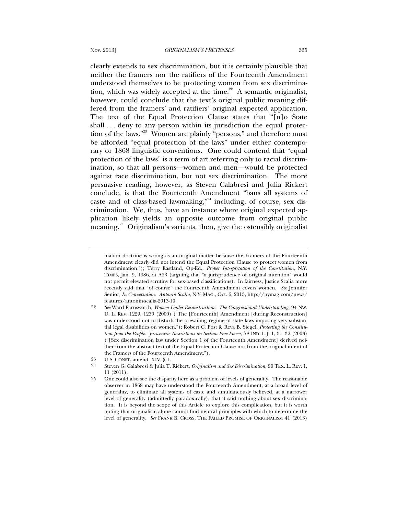clearly extends to sex discrimination, but it is certainly plausible that neither the framers nor the ratifiers of the Fourteenth Amendment understood themselves to be protecting women from sex discrimination, which was widely accepted at the time.<sup>22</sup> A semantic originalist, however, could conclude that the text's original public meaning differed from the framers' and ratifiers' original expected application. The text of the Equal Protection Clause states that "[n]o State shall . . . deny to any person within its jurisdiction the equal protection of the laws."23 Women are plainly "persons," and therefore must be afforded "equal protection of the laws" under either contemporary or 1868 linguistic conventions. One could contend that "equal protection of the laws" is a term of art referring only to racial discrimination, so that all persons—women and men—would be protected against race discrimination, but not sex discrimination. The more persuasive reading, however, as Steven Calabresi and Julia Rickert conclude, is that the Fourteenth Amendment "bans all systems of caste and of class-based lawmaking,"<sup>24</sup> including, of course, sex discrimination. We, thus, have an instance where original expected application likely yields an opposite outcome from original public meaning.<sup>25</sup> Originalism's variants, then, give the ostensibly originalist

ination doctrine is wrong as an original matter because the Framers of the Fourteenth Amendment clearly did not intend the Equal Protection Clause to protect women from discrimination."); Terry Eastland, Op-Ed., *Proper Interpretation of the Constitution*, N.Y. TIMES, Jan. 9, 1986, at A23 (arguing that "a jurisprudence of original intention" would not permit elevated scrutiny for sex-based classifications). In fairness, Justice Scalia more recently said that "of course" the Fourteenth Amendment covers women. *See* Jennifer Senior, *In Conversation: Antonin Scalia*, N.Y. MAG., Oct. 6, 2013, http://nymag.com/news/ features/antonin-scalia-2013-10.

<sup>22</sup> *See* Ward Farnsworth, *Women Under Reconstruction: The Congressional Understanding*, 94 NW. U. L. REV. 1229, 1230 (2000) ("The [Fourteenth] Amendment [during Reconstruction] was understood not to disturb the prevailing regime of state laws imposing very substantial legal disabilities on women."); Robert C. Post & Reva B. Siegel, *Protecting the Constitution from the People: Juricentric Restrictions on Section Five Power*, 78 IND. L.J. 1, 31–32 (2003) ("[Sex discrimination law under Section 1 of the Fourteenth Amendment] derived neither from the abstract text of the Equal Protection Clause nor from the original intent of the Framers of the Fourteenth Amendment.").

<sup>23</sup> U.S. CONST. amend. XIV, § 1.

<sup>24</sup> Steven G. Calabresi & Julia T. Rickert, *Originalism and Sex Discrimination*, 90 TEX. L. REV. 1, 11 (2011).

<sup>25</sup> One could also see the disparity here as a problem of levels of generality. The reasonable observer in 1868 may have understood the Fourteenth Amendment, at a broad level of generality, to eliminate all systems of caste and simultaneously believed, at a narrower level of generality (admittedly paradoxically), that it said nothing about sex discrimination. It is beyond the scope of this Article to explore this complication, but it is worth noting that originalism alone cannot find neutral principles with which to determine the level of generality. *See* FRANK B. CROSS, THE FAILED PROMISE OF ORIGINALISM 41 (2013)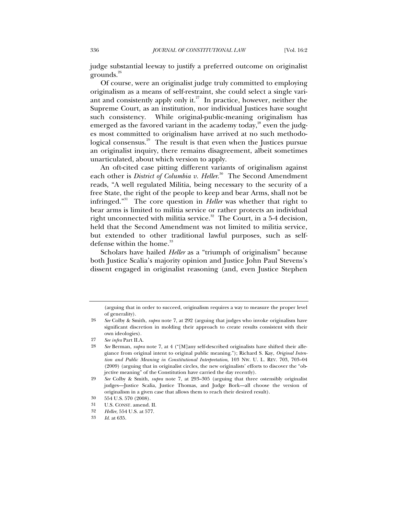judge substantial leeway to justify a preferred outcome on originalist grounds.<sup>26</sup>

Of course, were an originalist judge truly committed to employing originalism as a means of self-restraint, she could select a single variant and consistently apply only it. $27$  In practice, however, neither the Supreme Court, as an institution, nor individual Justices have sought such consistency. While original-public-meaning originalism has emerged as the favored variant in the academy today,<sup>28</sup> even the judges most committed to originalism have arrived at no such methodological consensus.<sup>29</sup> The result is that even when the Justices pursue an originalist inquiry, there remains disagreement, albeit sometimes unarticulated, about which version to apply.

An oft-cited case pitting different variants of originalism against each other is *District of Columbia v. Heller.*<sup>30</sup> The Second Amendment reads, "A well regulated Militia, being necessary to the security of a free State, the right of the people to keep and bear Arms, shall not be infringed."31 The core question in *Heller* was whether that right to bear arms is limited to militia service or rather protects an individual right unconnected with militia service.<sup>32</sup> The Court, in a 5-4 decision, held that the Second Amendment was not limited to militia service, but extended to other traditional lawful purposes, such as selfdefense within the home.<sup>33</sup>

Scholars have hailed *Heller* as a "triumph of originalism" because both Justice Scalia's majority opinion and Justice John Paul Stevens's dissent engaged in originalist reasoning (and, even Justice Stephen

<sup>(</sup>arguing that in order to succeed, originalism requires a way to measure the proper level of generality).

<sup>26</sup> *See* Colby & Smith, *supra* note 7, at 292 (arguing that judges who invoke originalism have significant discretion in molding their approach to create results consistent with their own ideologies).

<sup>27</sup> *See infra* Part II.A.

<sup>28</sup> *See* Berman, *supra* note 7, at 4 ("[M]any self-described originalists have shifted their allegiance from original intent to original public meaning."); Richard S. Kay, *Original Intention and Public Meaning in Constitutional Interpretation*, 103 NW. U. L. REV. 703, 703–04 (2009) (arguing that in originalist circles, the new originalists' efforts to discover the "objective meaning" of the Constitution have carried the day recently).

<sup>29</sup> *See* Colby & Smith, *supra* note 7, at 293–305 (arguing that three ostensibly originalist judges—Justice Scalia, Justice Thomas, and Judge Bork—all choose the version of originalism in a given case that allows them to reach their desired result).

<sup>30 554</sup> U.S. 570 (2008).

<sup>31</sup> U.S. CONST. amend. II.

<sup>32</sup> *Heller*, 554 U.S. at 577.

<sup>33</sup> *Id.* at 635.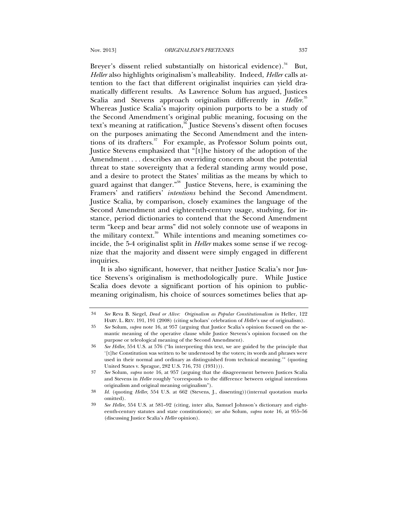Breyer's dissent relied substantially on historical evidence).<sup>34</sup> But, *Heller* also highlights originalism's malleability. Indeed, *Heller* calls attention to the fact that different originalist inquiries can yield dramatically different results. As Lawrence Solum has argued, Justices Scalia and Stevens approach originalism differently in *Heller*.<sup>35</sup> Whereas Justice Scalia's majority opinion purports to be a study of the Second Amendment's original public meaning, focusing on the text's meaning at ratification,<sup>36</sup> Justice Stevens's dissent often focuses on the purposes animating the Second Amendment and the intentions of its drafters. $37$  For example, as Professor Solum points out, Justice Stevens emphasized that "[t]he history of the adoption of the Amendment . . . describes an overriding concern about the potential threat to state sovereignty that a federal standing army would pose, and a desire to protect the States' militias as the means by which to guard against that danger."38 Justice Stevens, here, is examining the Framers' and ratifiers' *intentions* behind the Second Amendment. Justice Scalia, by comparison, closely examines the language of the Second Amendment and eighteenth-century usage, studying, for instance, period dictionaries to contend that the Second Amendment term "keep and bear arms" did not solely connote use of weapons in the military context.<sup>39</sup> While intentions and meaning sometimes coincide, the 5-4 originalist split in *Heller* makes some sense if we recognize that the majority and dissent were simply engaged in different inquiries.

It is also significant, however, that neither Justice Scalia's nor Justice Stevens's originalism is methodologically pure. While Justice Scalia does devote a significant portion of his opinion to publicmeaning originalism, his choice of sources sometimes belies that ap-

<sup>34</sup> *See* Reva B. Siegel, *Dead or Alive: Originalism as Popular Constitutionalism in* Heller, 122 HARV. L. REV. 191, 191 (2008) (citing scholars' celebration of *Heller*'s use of originalism).

<sup>35</sup> *See* Solum, *supra* note 16, at 957 (arguing that Justice Scalia's opinion focused on the semantic meaning of the operative clause while Justice Stevens's opinion focused on the purpose or teleological meaning of the Second Amendment).

<sup>36</sup> *See Heller*, 554 U.S. at 576 ("In interpreting this text, we are guided by the principle that '[t]he Constitution was written to be understood by the voters; its words and phrases were used in their normal and ordinary as distinguished from technical meaning.'" (quoting United States v. Sprague, 282 U.S. 716, 731 (1931))).

<sup>37</sup> *See* Solum, *supra* note 16, at 957 (arguing that the disagreement between Justices Scalia and Stevens in *Heller* roughly "corresponds to the difference between original intentions originalism and original meaning originalism").

<sup>38</sup> *Id.* (quoting *Heller*, 554 U.S. at 662 (Stevens, J., dissenting))(internal quotation marks omitted).

<sup>39</sup> *See Heller*, 554 U.S. at 581–92 (citing, inter alia, Samuel Johnson's dictionary and eighteenth-century statutes and state constitutions); *see also* Solum, *supra* note 16, at 955–56 (discussing Justice Scalia's *Heller* opinion).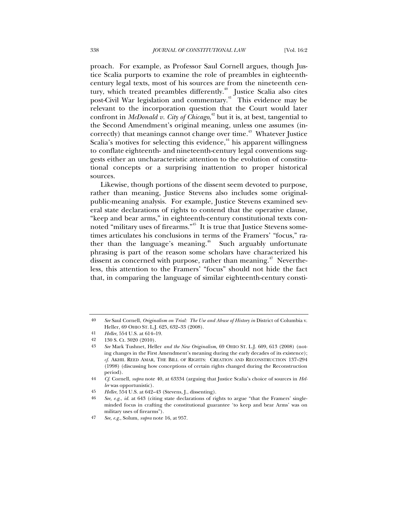proach. For example, as Professor Saul Cornell argues, though Justice Scalia purports to examine the role of preambles in eighteenthcentury legal texts, most of his sources are from the nineteenth century, which treated preambles differently.<sup>40</sup> Justice Scalia also cites post-Civil War legislation and commentary.<sup>41</sup> This evidence may be relevant to the incorporation question that the Court would later confront in *McDonald v. City of Chicago*, 42 but it is, at best, tangential to the Second Amendment's original meaning, unless one assumes (incorrectly) that meanings cannot change over time.<sup>43</sup> Whatever Justice Scalia's motives for selecting this evidence,<sup>44</sup> his apparent willingness to conflate eighteenth- and nineteenth-century legal conventions suggests either an uncharacteristic attention to the evolution of constitutional concepts or a surprising inattention to proper historical sources.

Likewise, though portions of the dissent seem devoted to purpose, rather than meaning, Justice Stevens also includes some originalpublic-meaning analysis. For example, Justice Stevens examined several state declarations of rights to contend that the operative clause, "keep and bear arms," in eighteenth-century constitutional texts connoted "military uses of firearms."45 It is true that Justice Stevens sometimes articulates his conclusions in terms of the Framers' "focus," rather than the language's meaning. $46$  Such arguably unfortunate phrasing is part of the reason some scholars have characterized his dissent as concerned with purpose, rather than meaning.<sup> $47$ </sup> Nevertheless, this attention to the Framers' "focus" should not hide the fact that, in comparing the language of similar eighteenth-century consti-

<sup>40</sup> *See* Saul Cornell, *Originalism on Trial: The Use and Abuse of History in* District of Columbia v. Heller, 69 OHIO ST. L.J. 625, 632–33 (2008).

<sup>41</sup> *Heller*, 554 U.S. at 614–19.

<sup>42 130</sup> S. Ct. 3020 (2010).

<sup>43</sup> *See* Mark Tushnet, Heller *and the New Originalism*, 69 OHIO ST. L.J. 609, 613 (2008) (noting changes in the First Amendment's meaning during the early decades of its existence); *cf.* AKHIL REED AMAR, THE BILL OF RIGHTS: CREATION AND RECONSTRUCTION 137–294 (1998) (discussing how conceptions of certain rights changed during the Reconstruction period).

<sup>44</sup> *Cf*. Cornell, *supra* note 40, at 63334 (arguing that Justice Scalia's choice of sources in *Heller* was opportunistic).

<sup>45</sup> *Heller*, 554 U.S. at 642–43 (Stevens, J., dissenting).

<sup>46</sup> *See, e.g.*, *id.* at 643 (citing state declarations of rights to argue "that the Framers' singleminded focus in crafting the constitutional guarantee 'to keep and bear Arms' was on military uses of firearms").

<sup>47</sup> *See, e.g.*, Solum, *supra* note 16, at 957.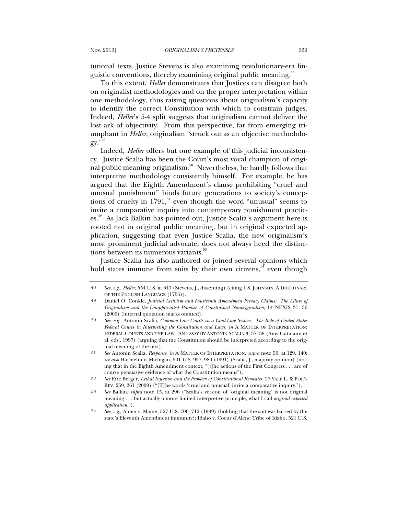tutional texts, Justice Stevens is also examining revolutionary-era linguistic conventions, thereby examining original public meaning.<sup>48</sup>

To this extent, *Heller* demonstrates that Justices can disagree both on originalist methodologies and on the proper interpretation within one methodology, thus raising questions about originalism's capacity to identify the correct Constitution with which to constrain judges. Indeed, *Heller*'s 5-4 split suggests that originalism cannot deliver the lost ark of objectivity. From this perspective, far from emerging triumphant in *Heller*, originalism "struck out as an objective methodology."49

Indeed, *Heller* offers but one example of this judicial inconsistency. Justice Scalia has been the Court's most vocal champion of original-public-meaning originalism.50 Nevertheless, he hardly follows that interpretive methodology consistently himself. For example, he has argued that the Eighth Amendment's clause prohibiting "cruel and unusual punishment" binds future generations to society's conceptions of cruelty in  $1791$ ,<sup>51</sup> even though the word "unusual" seems to invite a comparative inquiry into contemporary punishment practices.<sup>52</sup> As Jack Balkin has pointed out, Justice Scalia's argument here is rooted not in original public meaning, but in original expected application, suggesting that even Justice Scalia, the new originalism's most prominent judicial advocate, does not always heed the distinctions between its numerous variants.<sup>53</sup>

Justice Scalia has also authored or joined several opinions which hold states immune from suits by their own citizens,  $54$  even though

<sup>48</sup> *See, e.g*., *Heller*, 554 U.S. at 647 (Stevens, J., dissenting) (citing 1 S. JOHNSON, A DICTIONARY OF THE ENGLISH LANGUAGE (1755)).

<sup>49</sup> Daniel O. Conkle, *Judicial Activism and Fourteenth Amendment Privacy Claims: The Allure of Originalism and the Unappreciated Promise of Constrained Nonoriginalism*, 14 NEXIS 31, 36 (2009) (internal quotation marks omitted).

<sup>50</sup> *See, e.g.*, Antonin Scalia, *Common-Law Courts in a Civil-Law System: The Role of United States Federal Courts in Interpreting the Constitution and Laws*, *in* A MATTER OF INTERPRETATION: FEDERAL COURTS AND THE LAW: AN ESSAY BY ANTONIN SCALIA 3, 37–38 (Amy Gutmann et al. eds., 1997) (arguing that the Constitution should be interpreted according to the original meaning of the text).

<sup>51</sup> *See* Antonin Scalia, *Response*, *in* A MATTER OF INTERPRETATION, *supra* note 50, at 129, 140; *see also* Harmelin v. Michigan, 501 U.S. 957, 980 (1991) (Scalia, J., majority opinion) (noting that in the Eighth Amendment context, "[t]he actions of the First Congress . . . are of course persuasive evidence of what the Constitution means").

<sup>52</sup> *See* Eric Berger, *Lethal Injection and the Problem of Constitutional Remedies*, 27 YALE L. & POL'Y REV. 259, 261 (2009) ("[T]he words 'cruel and unusual' invite a comparative inquiry.").

<sup>53</sup> *See* Balkin, *supra* note 15, at 296 ("Scalia's version of 'original meaning' is not original meaning . . . but actually a more limited interpretive principle, what I call *original expected application*.").

<sup>54</sup> *See, e.g.*, Alden v. Maine, 527 U.S. 706, 712 (1999) (holding that the suit was barred by the state's Eleventh Amendment immunity); Idaho v. Coeur d'Alene Tribe of Idaho, 521 U.S.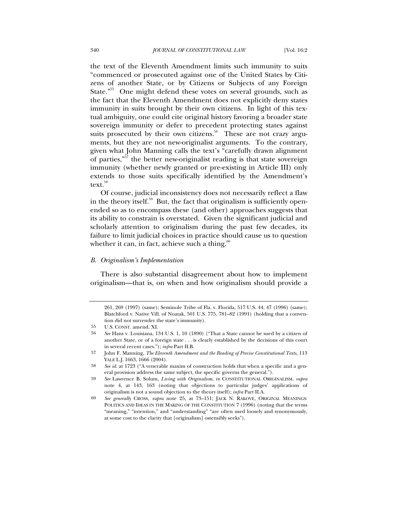the text of the Eleventh Amendment limits such immunity to suits "commenced or prosecuted against one of the United States by Citizens of another State, or by Citizens or Subjects of any Foreign State."55 One might defend these votes on several grounds, such as the fact that the Eleventh Amendment does not explicitly deny states immunity in suits brought by their own citizens. In light of this textual ambiguity, one could cite original history favoring a broader state sovereign immunity or defer to precedent protecting states against suits prosecuted by their own citizens.<sup>56</sup> These are not crazy arguments, but they are not new-originalist arguments. To the contrary, given what John Manning calls the text's "carefully drawn alignment of parties," $\bar{57}$  the better new-originalist reading is that state sovereign immunity (whether newly granted or pre-existing in Article III) only extends to those suits specifically identified by the Amendment's  $text{text}^{58}$ 

Of course, judicial inconsistency does not necessarily reflect a flaw in the theory itself. $59$  But, the fact that originalism is sufficiently openended so as to encompass these (and other) approaches suggests that its ability to constrain is overstated. Given the significant judicial and scholarly attention to originalism during the past few decades, its failure to limit judicial choices in practice should cause us to question whether it can, in fact, achieve such a thing. $60$ 

#### *B. Originalism's Implementation*

There is also substantial disagreement about how to implement originalism—that is, on when and how originalism should provide a

<sup>261, 269 (1997) (</sup>same); Seminole Tribe of Fla. v. Florida, 517 U.S. 44, 47 (1996) (same); Blatchford v. Native Vill. of Noatak, 501 U.S. 775, 781–82 (1991) (holding that a convention did not surrender the state's immunity).

<sup>55</sup> U.S. CONST. amend. XI.

<sup>56</sup> *See* Hans v. Louisiana, 134 U.S. 1, 10 (1890) ("That a State cannot be sued by a citizen of another State, or of a foreign state . . . is clearly established by the decisions of this court in several recent cases."); *infra* Part II.B.

<sup>57</sup> John F. Manning, *The Eleventh Amendment and the Reading of Precise Constitutional Texts*, 113 YALE L.J. 1663, 1666 (2004).

<sup>58</sup> *See id.* at 1723 ("A venerable maxim of construction holds that when a specific and a general provision address the same subject, the specific governs the general.").

<sup>59</sup> *See* Lawrence B. Solum, *Living with Originalism*, *in* CONSTITUTIONAL ORIGINALISM, *supra* note 4, at 143, 163 (noting that objections to particular judges' applications of originalism is not a sound objection to the theory itself); *infra* Part II.A.

<sup>60</sup> *See generally* CROSS, *supra* note 25, at 73–151; JACK N. RAKOVE, ORIGINAL MEANINGS: POLITICS AND IDEAS IN THE MAKING OF THE CONSTITUTION 7 (1996) (noting that the terms "meaning," "intention," and "understanding" "are often used loosely and synonymously, at some cost to the clarity that [originalism] ostensibly seeks").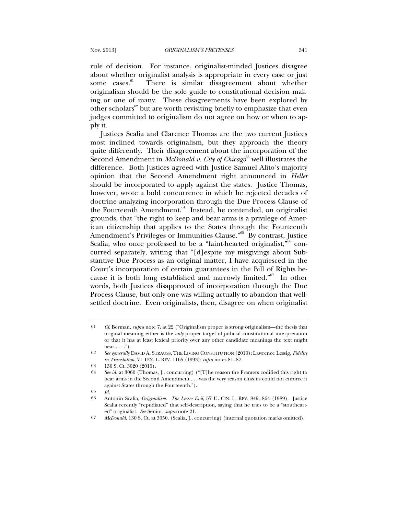rule of decision. For instance, originalist-minded Justices disagree about whether originalist analysis is appropriate in every case or just some cases.<sup>61</sup> There is similar disagreement about whether originalism should be the sole guide to constitutional decision making or one of many. These disagreements have been explored by other scholars<sup>62</sup> but are worth revisiting briefly to emphasize that even judges committed to originalism do not agree on how or when to apply it.

Justices Scalia and Clarence Thomas are the two current Justices most inclined towards originalism, but they approach the theory quite differently. Their disagreement about the incorporation of the Second Amendment in *McDonald v. City of Chicago*<sup>63</sup> well illustrates the difference. Both Justices agreed with Justice Samuel Alito's majority opinion that the Second Amendment right announced in *Heller* should be incorporated to apply against the states. Justice Thomas, however, wrote a bold concurrence in which he rejected decades of doctrine analyzing incorporation through the Due Process Clause of the Fourteenth Amendment.<sup>64</sup> Instead, he contended, on originalist grounds, that "the right to keep and bear arms is a privilege of American citizenship that applies to the States through the Fourteenth Amendment's Privileges or Immunities Clause."<sup>65</sup> By contrast, Justice Scalia, who once professed to be a "faint-hearted originalist,"<sup>66</sup> concurred separately, writing that "[d]espite my misgivings about Substantive Due Process as an original matter, I have acquiesced in the Court's incorporation of certain guarantees in the Bill of Rights because it is both long established and narrowly limited."67 In other words, both Justices disapproved of incorporation through the Due Process Clause, but only one was willing actually to abandon that wellsettled doctrine. Even originalists, then, disagree on when originalist

<sup>61</sup> *Cf*. Berman, *supra* note 7, at 22 ("Originalism proper is strong originalism—the thesis that original meaning either is the *only* proper target of judicial constitutional interpretation or that it has at least lexical priority over any other candidate meanings the text might  $\text{bear} \ldots$ ").

<sup>62</sup> *See generally* DAVID A. STRAUSS, THE LIVING CONSTITUTION (2010); Lawrence Lessig, *Fidelity in Translation*, 71 TEX. L. REV. 1165 (1993); *infra* notes 81–87.

<sup>63 130</sup> S. Ct. 3020 (2010).

<sup>64</sup> *See id.* at 3060 (Thomas, J., concurring) ("[T]he reason the Framers codified this right to bear arms in the Second Amendment . . . was the very reason citizens could not enforce it against States through the Fourteenth.").

<sup>65</sup> *Id.*

<sup>66</sup> Antonin Scalia, *Originalism: The Lesser Evil*, 57 U. CIN. L. REV. 849, 864 (1989). Justice Scalia recently "repudiated" that self-description, saying that he tries to be a "stouthearted" originalist. *See* Senior, *supra* note 21.

<sup>67</sup> *McDonald*, 130 S. Ct. at 3050. (Scalia, J., concurring) (internal quotation marks omitted).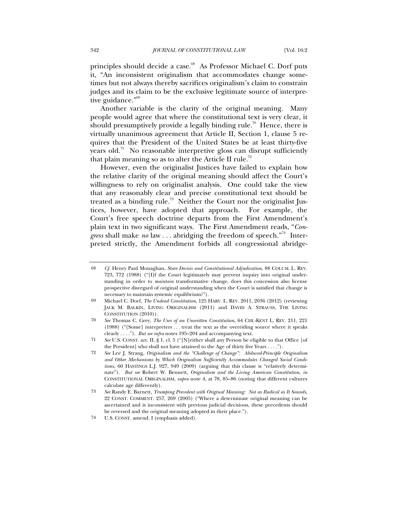principles should decide a case.<sup>68</sup> As Professor Michael C. Dorf puts it, "An inconsistent originalism that accommodates change sometimes but not always thereby sacrifices originalism's claim to constrain judges and its claim to be the exclusive legitimate source of interpretive guidance."<sup>69</sup>

Another variable is the clarity of the original meaning. Many people would agree that where the constitutional text is very clear, it should presumptively provide a legally binding rule.<sup>70</sup> Hence, there is virtually unanimous agreement that Article II, Section 1, clause 5 requires that the President of the United States be at least thirty-five years old. $\frac{71}{10}$  No reasonable interpretive gloss can disrupt sufficiently that plain meaning so as to alter the Article II rule.<sup>72</sup>

However, even the originalist Justices have failed to explain how the relative clarity of the original meaning should affect the Court's willingness to rely on originalist analysis. One could take the view that any reasonably clear and precise constitutional text should be treated as a binding rule.<sup>73</sup> Neither the Court nor the originalist Justices, however, have adopted that approach. For example, the Court's free speech doctrine departs from the First Amendment's plain text in two significant ways. The First Amendment reads, "*Congress* shall make *no* law . . . abridging the freedom of speech."<sup>74</sup> Interpreted strictly, the Amendment forbids all congressional abridge-

<sup>68</sup> *Cf.* Henry Paul Monaghan, *Stare Decisis and Constitutional Adjudication*, 88 COLUM. L. REV. 723, 772 (1988) ("[I]f the Court legitimately may prevent inquiry into original understanding in order to *maintain* transformative change, does this concession also license prospective disregard of original understanding when the Court is satisfied that change is necessary to maintain systemic equilibrium?").

<sup>69</sup> Michael C. Dorf, *The Undead Constitution*, 125 HARV. L. REV. 2011, 2036 (2012) (reviewing JACK M. BALKIN, LIVING ORIGINALISM (2011) and DAVID A. STRAUSS, THE LIVING CONSTITUTION (2010)).

<sup>70</sup> *See* Thomas C. Grey, *The Uses of an Unwritten Constitution*, 64 CHI.-KENT L. REV. 211, 221 (1988) ("[Some] interpreters . . . treat the text as the overriding source where it speaks clearly . . . ."). *But see infra* notes 195–204 and accompanying text.

<sup>71</sup> *See* U.S. CONST. art. II, § 1, cl. 5 ("[N]either shall any Person be eligible to that Office [of the President] who shall not have attained to the Age of thirty five Years . . . .").

<sup>72</sup> *See* Lee J. Strang, *Originalism and the "Challenge of Change": Abduced-Principle Originalism and Other Mechanisms by Which Originalism Sufficiently Accommodates Changed Social Conditions*, 60 HASTINGS L.J. 927, 949 (2009) (arguing that this clause is "relatively determinate"). *But see* Robert W. Bennett, *Originalism and the Living American Constitution*, *in* CONSTITUTIONAL ORIGINALISM, *supra* note 4, at 78, 85–86 (noting that different cultures calculate age differently).

<sup>73</sup> *See* Randy E. Barnett, *Trumping Precedent with Original Meaning: Not as Radical as It Sounds*, 22 CONST. COMMENT. 257, 269 (2005) ("Where a determinate original meaning can be ascertained and is inconsistent with previous judicial decisions, these precedents should be reversed and the original meaning adopted in their place.").

<sup>74</sup> U.S. CONST. amend. I (emphasis added).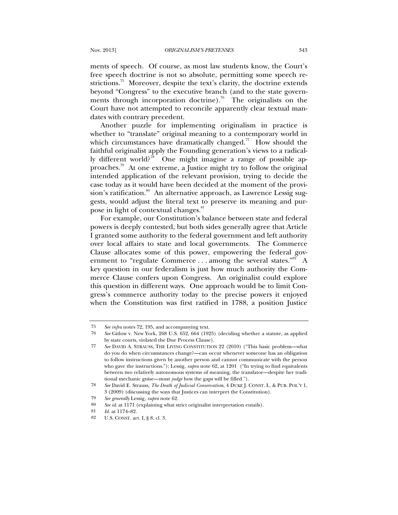ments of speech. Of course, as most law students know, the Court's free speech doctrine is not so absolute, permitting some speech restrictions.<sup>75</sup> Moreover, despite the text's clarity, the doctrine extends beyond "Congress" to the executive branch (and to the state governments through incorporation doctrine).<sup>76</sup> The originalists on the Court have not attempted to reconcile apparently clear textual mandates with contrary precedent.

Another puzzle for implementing originalism in practice is whether to "translate" original meaning to a contemporary world in which circumstances have dramatically changed.<sup>77</sup> How should the faithful originalist apply the Founding generation's views to a radically different world?<sup>78</sup> One might imagine a range of possible approaches.79 At one extreme, a Justice might try to follow the original intended application of the relevant provision, trying to decide the case today as it would have been decided at the moment of the provision's ratification.<sup>80</sup> An alternative approach, as Lawrence Lessig suggests, would adjust the literal text to preserve its meaning and purpose in light of contextual changes.<sup>81</sup>

For example, our Constitution's balance between state and federal powers is deeply contested, but both sides generally agree that Article I granted some authority to the federal government and left authority over local affairs to state and local governments. The Commerce Clause allocates some of this power, empowering the federal government to "regulate Commerce . . . among the several states."<sup>82</sup> A key question in our federalism is just how much authority the Commerce Clause confers upon Congress. An originalist could explore this question in different ways. One approach would be to limit Congress's commerce authority today to the precise powers it enjoyed when the Constitution was first ratified in 1788, a position Justice

<sup>75</sup> *See infra* notes 72, 195, and accompanying text.

<sup>76</sup> *See* Gitlow v. New York, 268 U.S. 652, 664 (1925) (deciding whether a statute, as applied by state courts, violated the Due Process Clause).

<sup>77</sup> *See* DAVID A. STRAUSS, THE LIVING CONSTITUTION 22 (2010) ("This basic problem—what do you do when circumstances change?—can occur whenever someone has an obligation to follow instructions given by another person and cannot communicate with the person who gave the instructions."); Lessig, *supra* note 62, at 1201 ("In trying to find equivalents between two relatively autonomous systems of meaning, the translator—despite her traditional mechanic guise—must *judge* how the gaps will be filled.").

<sup>78</sup> *See* David E. Strauss, *The Death of Judicial Conservatism*, 4 DUKE J. CONST. L. & PUB. POL'Y 1, 3 (2009) (discussing the ways that Justices can interpret the Constitution).

<sup>79</sup> *See generally* Lessig, *supra* note 62.

<sup>80</sup> *See id*. at 1171 (explaining what strict originalist interpretation entails).

<sup>81</sup> *Id.* at 1174–82.

<sup>82</sup> U.S. CONST. art. I, § 8, cl. 3.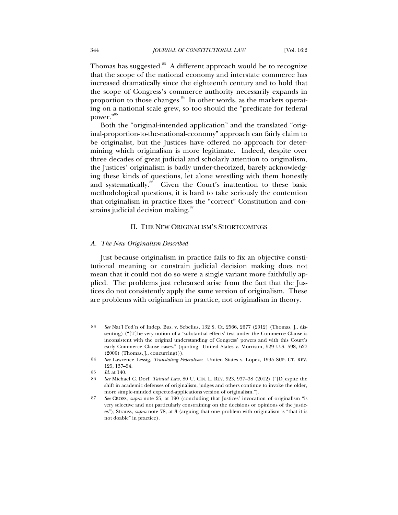Thomas has suggested.<sup>83</sup> A different approach would be to recognize that the scope of the national economy and interstate commerce has increased dramatically since the eighteenth century and to hold that the scope of Congress's commerce authority necessarily expands in proportion to those changes.<sup>84</sup> In other words, as the markets operating on a national scale grew, so too should the "predicate for federal power."<sup>85</sup>

Both the "original-intended application" and the translated "original-proportion-to-the-national-economy" approach can fairly claim to be originalist, but the Justices have offered no approach for determining which originalism is more legitimate. Indeed, despite over three decades of great judicial and scholarly attention to originalism, the Justices' originalism is badly under-theorized, barely acknowledging these kinds of questions, let alone wrestling with them honestly and systematically.<sup>86</sup> Given the Court's inattention to these basic methodological questions, it is hard to take seriously the contention that originalism in practice fixes the "correct" Constitution and constrains judicial decision making. $87$ 

#### II. THE NEW ORIGINALISM'S SHORTCOMINGS

#### *A. The New Originalism Described*

Just because originalism in practice fails to fix an objective constitutional meaning or constrain judicial decision making does not mean that it could not do so were a single variant more faithfully applied. The problems just rehearsed arise from the fact that the Justices do not consistently apply the same version of originalism. These are problems with originalism in practice, not originalism in theory.

<sup>83</sup> *See* Nat'l Fed'n of Indep. Bus. v. Sebelius, 132 S. Ct. 2566, 2677 (2012) (Thomas, J., dissenting) ("[T]he very notion of a 'substantial effects' test under the Commerce Clause is inconsistent with the original understanding of Congress' powers and with this Court's early Commerce Clause cases." (quoting United States v. Morrison, 529 U.S. 598, 627  $(2000)$  (Thomas, J., concurring))).

<sup>84</sup> *See* Lawrence Lessig, *Translating Federalism:* United States v. Lopez, 1995 SUP. CT. REV. 125, 137–54.

<sup>85</sup> *Id.* at 140.

<sup>86</sup> *See* Michael C. Dorf, *Tainted Law*, 80 U. CIN. L. REV. 923, 937–38 (2012) ("[D]espite the shift in academic defenses of originalism, judges and others continue to invoke the older, more simple-minded expected-applications version of originalism.").

<sup>87</sup> *See* CROSS, *supra* note 25, at 190 (concluding that Justices' invocation of originalism "is very selective and not particularly constraining on the decisions or opinions of the justices"); Strauss, *supra* note 78, at 3 (arguing that one problem with originalism is "that it is not doable" in practice).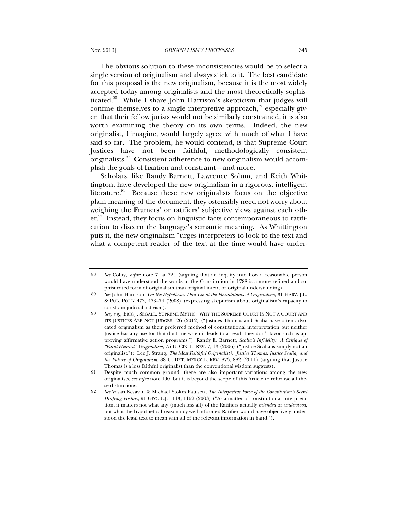The obvious solution to these inconsistencies would be to select a single version of originalism and always stick to it. The best candidate for this proposal is the new originalism, because it is the most widely accepted today among originalists and the most theoretically sophisticated.88 While I share John Harrison's skepticism that judges will confine themselves to a single interpretive approach, $\frac{89}{3}$  especially given that their fellow jurists would not be similarly constrained, it is also worth examining the theory on its own terms. Indeed, the new originalist, I imagine, would largely agree with much of what I have said so far. The problem, he would contend, is that Supreme Court Justices have not been faithful, methodologically consistent originalists.<sup>90</sup> Consistent adherence to new originalism would accomplish the goals of fixation and constraint—and more.

Scholars, like Randy Barnett, Lawrence Solum, and Keith Whittington, have developed the new originalism in a rigorous, intelligent literature.<sup>91</sup> Because these new originalists focus on the objective plain meaning of the document, they ostensibly need not worry about weighing the Framers' or ratifiers' subjective views against each oth $er<sup>92</sup>$  Instead, they focus on linguistic facts contemporaneous to ratification to discern the language's semantic meaning. As Whittington puts it, the new originalism "urges interpreters to look to the text and what a competent reader of the text at the time would have under-

<sup>88</sup> *See* Colby, *supra* note 7, at 724 (arguing that an inquiry into how a reasonable person would have understood the words in the Constitution in 1788 is a more refined and sophisticated form of originalism than original intent or original understanding).

<sup>89</sup> *See* John Harrison, *On the Hypotheses That Lie at the Foundations of Originalism*, 31 HARV. J.L. & PUB. POL'Y 473, 473–74 (2008) (expressing skepticism about originalism's capacity to constrain judicial activism).

<sup>90</sup> *See, e.g.*, ERIC J. SEGALL, SUPREME MYTHS: WHY THE SUPREME COURT IS NOT A COURT AND ITS JUSTICES ARE NOT JUDGES 126 (2012) ("Justices Thomas and Scalia have often advocated originalism as their preferred method of constitutional interpretation but neither Justice has any use for that doctrine when it leads to a result they don't favor such as approving affirmative action programs."); Randy E. Barnett, *Scalia's Infidelity: A Critique of "Faint-Hearted" Originalism*, 75 U. CIN. L. REV. 7, 13 (2006) ("Justice Scalia is simply not an originalist."); Lee J. Strang, *The Most Faithful Originalist?: Justice Thomas, Justice Scalia, and the Future of Originalism*, 88 U. DET. MERCY L. REV. 873, 882 (2011) (arguing that Justice Thomas is a less faithful originalist than the conventional wisdom suggests).

<sup>91</sup> Despite much common ground, there are also important variations among the new originalists, *see infra* note 190, but it is beyond the scope of this Article to rehearse all these distinctions.

<sup>92</sup> *See* Vasan Kesavan & Michael Stokes Paulsen, *The Interpretive Force of the Constitution's Secret Drafting History*, 91 GEO. L.J. 1113, 1162 (2003) ("As a matter of constitutional interpretation, it matters not what any (much less all) of the Ratifiers actually *intended* or *understood*, but what the hypothetical reasonably well-informed Ratifier would have objectively understood the legal text to mean with all of the relevant information in hand.").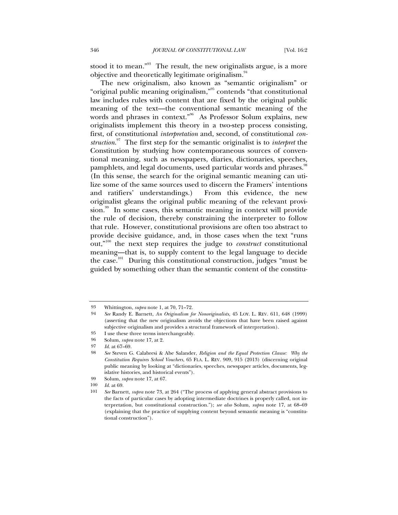stood it to mean."<sup>93</sup> The result, the new originalists argue, is a more objective and theoretically legitimate originalism.<sup>94</sup>

The new originalism, also known as "semantic originalism" or "original public meaning originalism,"95 contends "that constitutional law includes rules with content that are fixed by the original public meaning of the text—the conventional semantic meaning of the words and phrases in context."<sup>96</sup> As Professor Solum explains, new originalists implement this theory in a two-step process consisting, first, of constitutional *interpretation* and, second, of constitutional *construction*. 97 The first step for the semantic originalist is to *interpret* the Constitution by studying how contemporaneous sources of conventional meaning, such as newspapers, diaries, dictionaries, speeches, pamphlets, and legal documents, used particular words and phrases.<sup>98</sup> (In this sense, the search for the original semantic meaning can utilize some of the same sources used to discern the Framers' intentions and ratifiers' understandings.) From this evidence, the new originalist gleans the original public meaning of the relevant provision.<sup>99</sup> In some cases, this semantic meaning in context will provide the rule of decision, thereby constraining the interpreter to follow that rule. However, constitutional provisions are often too abstract to provide decisive guidance, and, in those cases when the text "runs out,"100 the next step requires the judge to *construct* constitutional meaning—that is, to supply content to the legal language to decide the case.<sup>101</sup> During this constitutional construction, judges "must be guided by something other than the semantic content of the constitu-

95 I use these three terms interchangeably.

<sup>93</sup> Whittington, *supra* note 1, at 70, 71–72.

<sup>94</sup> *See* Randy E. Barnett, *An Originalism for Nonoriginalists*, 45 LOY. L. REV. 611, 648 (1999) (asserting that the new originalism avoids the objections that have been raised against subjective originalism and provides a structural framework of interpretation).

<sup>96</sup> Solum, *supra* note 17, at 2.

<sup>97</sup> *Id.* at 67–69.

<sup>98</sup> *See* Steven G. Calabresi & Abe Salander, *Religion and the Equal Protection Clause: Why the Constitution Requires School Vouchers*, 65 FLA. L. REV. 909, 915 (2013) (discerning original public meaning by looking at "dictionaries, speeches, newspaper articles, documents, legislative histories, and historical events").

<sup>99</sup> Solum, *supra* note 17, at 67.

<sup>100</sup> *Id.* at 69.

<sup>101</sup> *See* Barnett, *supra* note 73, at 264 ("The process of applying general abstract provisions to the facts of particular cases by adopting intermediate doctrines is properly called, not interpretation, but constitutional construction."); *see also* Solum, *supra* note 17, at 68–69 (explaining that the practice of supplying content beyond semantic meaning is "constitutional construction").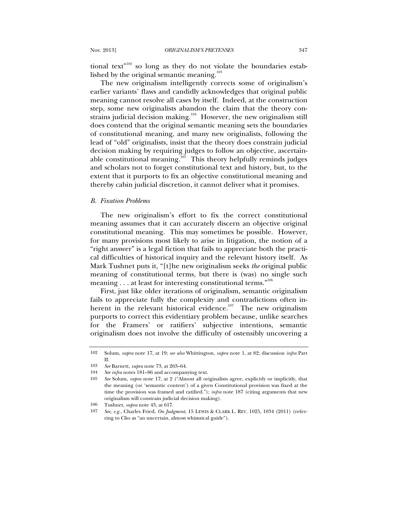tional text<sup> $n^{102}$ </sup> so long as they do not violate the boundaries established by the original semantic meaning.<sup>103</sup>

The new originalism intelligently corrects some of originalism's earlier variants' flaws and candidly acknowledges that original public meaning cannot resolve all cases by itself. Indeed, at the construction step, some new originalists abandon the claim that the theory constrains judicial decision making.<sup>104</sup> However, the new originalism still does contend that the original semantic meaning sets the boundaries of constitutional meaning, and many new originalists, following the lead of "old" originalists, insist that the theory does constrain judicial decision making by requiring judges to follow an objective, ascertainable constitutional meaning.<sup>105</sup> This theory helpfully reminds judges and scholars not to forget constitutional text and history, but, to the extent that it purports to fix an objective constitutional meaning and thereby cabin judicial discretion, it cannot deliver what it promises.

#### *B. Fixation Problems*

The new originalism's effort to fix the correct constitutional meaning assumes that it can accurately discern an objective original constitutional meaning. This may sometimes be possible. However, for many provisions most likely to arise in litigation, the notion of a "right answer" is a legal fiction that fails to appreciate both the practical difficulties of historical inquiry and the relevant history itself. As Mark Tushnet puts it, "[t]he new originalism seeks *the* original public meaning of constitutional terms, but there is (was) no single such meaning . . . at least for interesting constitutional terms."<sup>106</sup>

First, just like older iterations of originalism, semantic originalism fails to appreciate fully the complexity and contradictions often inherent in the relevant historical evidence.<sup>107</sup> The new originalism purports to correct this evidentiary problem because, unlike searches for the Framers' or ratifiers' subjective intentions, semantic originalism does not involve the difficulty of ostensibly uncovering a

<sup>102</sup> Solum, *supra* note 17, at 19; *see also* Whittington, *supra* note 1, at 82; discussion *infra* Part II.

<sup>103</sup> *See* Barnett, *supra* note 73, at 263–64.

<sup>104</sup> *See infra* notes 181–86 and accompanying text.

<sup>105</sup> *See* Solum, *supra* note 17, at 2 ("Almost all originalists agree, explicitly or implicitly, that the meaning (or 'semantic content') of a given Constitutional provision was fixed at the time the provision was framed and ratified."); *infra* note 187 (citing arguments that new originalism will constrain judicial decision making).

<sup>106</sup> Tushnet, *supra* note 43, at 617.

<sup>107</sup> *See, e.g.*, Charles Fried, *On Judgment*, 15 LEWIS & CLARK L. REV. 1025, 1034 (2011) (referring to Clio as "an uncertain, almost whimsical guide").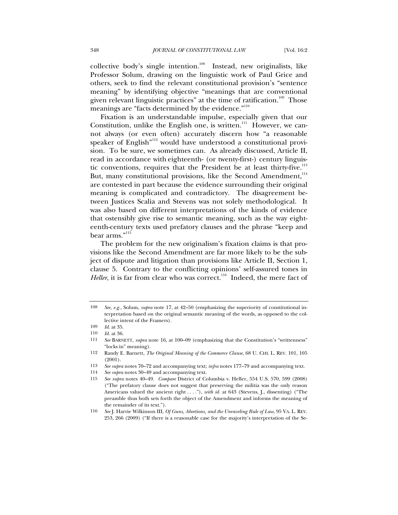collective body's single intention.<sup>108</sup> Instead, new originalists, like Professor Solum, drawing on the linguistic work of Paul Grice and others, seek to find the relevant constitutional provision's "sentence meaning" by identifying objective "meanings that are conventional given relevant linguistic practices" at the time of ratification.<sup>109</sup> Those meanings are "facts determined by the evidence."<sup>110</sup>

Fixation is an understandable impulse, especially given that our Constitution, unlike the English one, is written.<sup>111</sup> However, we cannot always (or even often) accurately discern how "a reasonable speaker of English<sup>"112</sup> would have understood a constitutional provision. To be sure, we sometimes can. As already discussed, Article II, read in accordance with eighteenth- (or twenty-first-) century linguistic conventions, requires that the President be at least thirty-five. $^{113}$ But, many constitutional provisions, like the Second Amendment,<sup>114</sup> are contested in part because the evidence surrounding their original meaning is complicated and contradictory. The disagreement between Justices Scalia and Stevens was not solely methodological. It was also based on different interpretations of the kinds of evidence that ostensibly give rise to semantic meaning, such as the way eighteenth-century texts used prefatory clauses and the phrase "keep and bear arms."<sup>115</sup>

The problem for the new originalism's fixation claims is that provisions like the Second Amendment are far more likely to be the subject of dispute and litigation than provisions like Article II, Section 1, clause 5. Contrary to the conflicting opinions' self-assured tones in *Heller*, it is far from clear who was correct.<sup>116</sup> Indeed, the mere fact of

<sup>108</sup> *See, e.g.*, Solum, *supra* note 17, at 42–50 (emphasizing the superiority of constitutional interpretation based on the original semantic meaning of the words, as opposed to the collective intent of the Framers).

<sup>109</sup> *Id.* at 35.

<sup>110</sup> *Id.* at 36.

<sup>111</sup> *See* BARNETT, *supra* note 16, at 100–09 (emphasizing that the Constitution's "writtenness" "locks in" meaning).

<sup>112</sup> Randy E. Barnett, *The Original Meaning of the Commerce Clause*, 68 U. CHI. L. REV. 101, 105 (2001).

<sup>113</sup> *See supra* notes 70–72 and accompanying text; *infra* notes 177–79 and accompanying text.

<sup>114</sup> *See supra* notes 30–49 and accompanying text.

<sup>115</sup> *See supra* notes 40–49. *Compare* District of Columbia v. Heller, 554 U.S. 570, 599 (2008) ("The prefatory clause does not suggest that preserving the militia was the only reason Americans valued the ancient right . . . ."), *with id.* at 643 (Stevens, J., dissenting) ("The preamble thus both sets forth the object of the Amendment and informs the meaning of the remainder of its text.").

<sup>116</sup> *See* J. Harvie Wilkinson III, *Of Guns, Abortions, and the Unraveling Rule of Law*, 95 VA. L. REV. 253, 266 (2009) ("If there is a reasonable case for the majority's interpretation of the Se-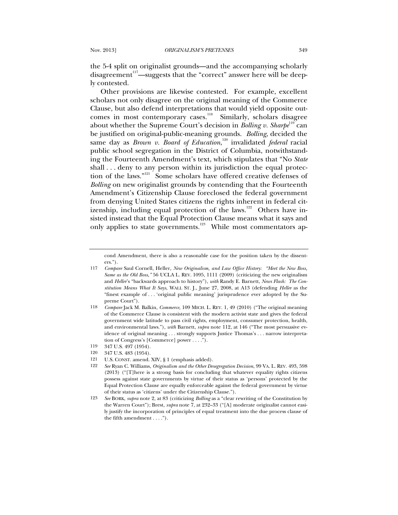the 5-4 split on originalist grounds—and the accompanying scholarly disagreement<sup>117</sup>—suggests that the "correct" answer here will be deeply contested.

Other provisions are likewise contested. For example, excellent scholars not only disagree on the original meaning of the Commerce Clause, but also defend interpretations that would yield opposite outcomes in most contemporary cases.<sup>118</sup> Similarly, scholars disagree about whether the Supreme Court's decision in *Bolling v. Sharpe*<sup>119</sup> can be justified on original-public-meaning grounds. *Bolling*, decided the same day as *Brown v. Board of Education*, 120 invalidated *federal* racial public school segregation in the District of Columbia, notwithstanding the Fourteenth Amendment's text, which stipulates that "No *State*  shall . . . deny to any person within its jurisdiction the equal protection of the laws."121 Some scholars have offered creative defenses of *Bolling* on new originalist grounds by contending that the Fourteenth Amendment's Citizenship Clause foreclosed the federal government from denying United States citizens the rights inherent in federal citizenship, including equal protection of the laws.<sup>122</sup> Others have insisted instead that the Equal Protection Clause means what it says and only applies to state governments.<sup>123</sup> While most commentators ap-

- 120 347 U.S. 483 (1954).
- 121 U.S. CONST. amend. XIV, § 1 (emphasis added).
- 122 *See* Ryan C. Williams, *Originalism and the Other Desegregation Decision*, 99 VA. L. REV. 493, 598 (2013) ("[T]here is a strong basis for concluding that whatever equality rights citizens possess against state governments by virtue of their status as 'persons' protected by the Equal Protection Clause are equally enforceable against the federal government by virtue of their status as 'citizens' under the Citizenship Clause.").
- 123 *See* BORK, *supra* note 2, at 83 (criticizing *Bolling* as a "clear rewriting of the Constitution by the Warren Court"); Brest, *supra* note 7, at 232–33 ("[A] moderate originalist cannot easily justify the incorporation of principles of equal treatment into the due process clause of the fifth amendment . . . .").

cond Amendment, there is also a reasonable case for the position taken by the dissenters.").

<sup>117</sup> *Compare* Saul Cornell, Heller*, New Originalism, and Law Office History: "Meet the New Boss, Same as the Old Boss*,*"* 56 UCLA L. REV. 1095, 1111 (2009) (criticizing the new originalism and *Heller*'s "backwards approach to history"), *with* Randy E. Barnett, *News Flash: The Constitution Means What It Says*, WALL ST. J., June 27, 2008, at A13 (defending *Heller* as the "finest example of . . . 'original public meaning' jurisprudence ever adopted by the Supreme Court").

<sup>118</sup> *Compare* Jack M. Balkin, *Commerce*, 109 MICH. L. REV. 1, 49 (2010) ("The original meaning of the Commerce Clause is consistent with the modern activist state and gives the federal government wide latitude to pass civil rights, employment, consumer protection, health, and environmental laws."), *with* Barnett, *supra* note 112, at 146 ("The most persuasive evidence of original meaning . . . strongly supports Justice Thomas's . . . narrow interpretation of Congress's [Commerce] power . . . .").

<sup>119 347</sup> U.S. 497 (1954).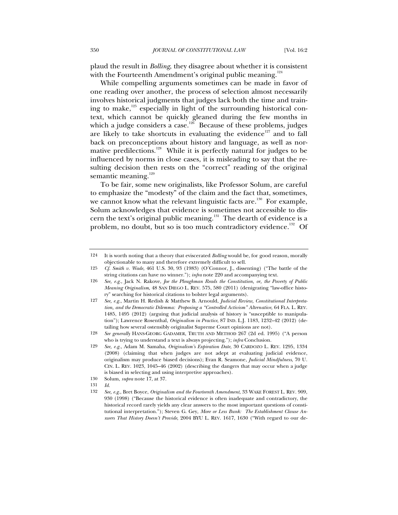plaud the result in *Bolling*, they disagree about whether it is consistent with the Fourteenth Amendment's original public meaning.<sup>124</sup>

While compelling arguments sometimes can be made in favor of one reading over another, the process of selection almost necessarily involves historical judgments that judges lack both the time and training to make, $125$  especially in light of the surrounding historical context, which cannot be quickly gleaned during the few months in which a judge considers a case.<sup>126</sup> Because of these problems, judges are likely to take shortcuts in evaluating the evidence<sup>127</sup> and to fall back on preconceptions about history and language, as well as normative predilections.<sup>128</sup> While it is perfectly natural for judges to be influenced by norms in close cases, it is misleading to say that the resulting decision then rests on the "correct" reading of the original semantic meaning. $129$ 

To be fair, some new originalists, like Professor Solum, are careful to emphasize the "modesty" of the claim and the fact that, sometimes, we cannot know what the relevant linguistic facts are.<sup>130</sup> For example, Solum acknowledges that evidence is sometimes not accessible to discern the text's original public meaning.<sup>131</sup> The dearth of evidence is a problem, no doubt, but so is too much contradictory evidence.<sup>132</sup> Of

127 *See, e.g.*, Martin H. Redish & Matthew B. Arnould, *Judicial Review, Constitutional Interpretation, and the Democratic Dilemma: Proposing a "Controlled Activism" Alternative*, 64 FLA. L. REV. 1485, 1495 (2012) (arguing that judicial analysis of history is "susceptible to manipulation"); Lawrence Rosenthal, *Originalism in Practice*, 87 IND. L.J. 1183, 1232–42 (2012) (detailing how several ostensibly originalist Supreme Court opinions are not).

128 *See generally* HANS-GEORG GADAMER, TRUTH AND METHOD 267 (2d ed. 1995) ("A person who is trying to understand a text is always projecting."); *infra* Conclusion.

129 *See, e.g.*, Adam M. Samaha, *Originalism's Expiration Date*, 30 CARDOZO L. REV. 1295, 1334 (2008) (claiming that when judges are not adept at evaluating judicial evidence, originalism may produce biased decisions); Evan R. Seamone, *Judicial Mindfulness*, 70 U. CIN. L. REV. 1023, 1045–46 (2002) (describing the dangers that may occur when a judge is biased in selecting and using interpretive approaches).

<sup>124</sup> It is worth noting that a theory that eviscerated *Bolling* would be, for good reason, morally objectionable to many and therefore extremely difficult to sell.

<sup>125</sup> *Cf. Smith v. Wade*, 461 U.S. 30, 93 (1983) (O'Connor, J., dissenting) ("The battle of the string citations can have no winner."); *infra* note 220 and accompanying text.

<sup>126</sup> *See, e.g.*, Jack N. Rakove, *Joe the Ploughman Reads the Constitution, or, the Poverty of Public Meaning Originalism*, 48 SAN DIEGO L. REV. 575, 580 (2011) (denigrating "law-office history" searching for historical citations to bolster legal arguments).

<sup>130</sup> Solum, *supra* note 17, at 37.

<sup>131</sup> *Id.*

<sup>132</sup> *See, e.g.*, Bret Boyce, *Originalism and the Fourteenth Amendment*, 33 WAKE FOREST L. REV. 909, 930 (1998) ("Because the historical evidence is often inadequate and contradictory, the historical record rarely yields any clear answers to the most important questions of constitutional interpretation."); Steven G. Gey, *More or Less Bunk: The Establishment Clause Answers That History Doesn't Provide*, 2004 BYU L. REV. 1617, 1630 ("With regard to our de-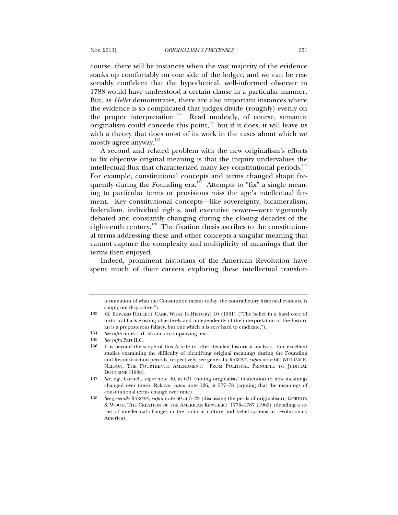course, there will be instances when the vast majority of the evidence stacks up comfortably on one side of the ledger, and we can be reasonably confident that the hypothetical, well-informed observer in 1788 would have understood a certain clause in a particular manner. But, as *Heller* demonstrates, there are also important instances where the evidence is so complicated that judges divide (roughly) evenly on the proper interpretation.<sup>133</sup> Read modestly, of course, semantic originalism could concede this point,<sup>134</sup> but if it does, it will leave us with a theory that does most of its work in the cases about which we mostly agree anyway.<sup>135</sup>

A second and related problem with the new originalism's efforts to fix objective original meaning is that the inquiry undervalues the intellectual flux that characterized many key constitutional periods. $^{136}$ For example, constitutional concepts and terms changed shape frequently during the Founding era.<sup>137</sup> Attempts to "fix" a single meaning to particular terms or provisions miss the age's intellectual ferment. Key constitutional concepts—like sovereignty, bicameralism, federalism, individual rights, and executive power—were vigorously debated and constantly changing during the closing decades of the eighteenth century.<sup>138</sup> The fixation thesis ascribes to the constitutional terms addressing these and other concepts a singular meaning that cannot capture the complexity and multiplicity of meanings that the terms then enjoyed.

Indeed, prominent historians of the American Revolution have spent much of their careers exploring these intellectual transfor-

134 *See infra* notes 161–63 and accompanying text.

termination of what the Constitution means today, the contradictory historical evidence is simply not dispositive.").

<sup>133</sup> *Cf.* EDWARD HALLETT CARR, WHAT IS HISTORY? 10 (1961) ("The belief in a hard core of historical facts existing objectively and independently of the interpretation of the historian is a preposterous fallacy, but one which it is very hard to eradicate.").

<sup>135</sup> *See infra* Part II.C.

<sup>136</sup> It is beyond the scope of this Article to offer detailed historical analysis. For excellent studies examining the difficulty of identifying original meanings during the Founding and Reconstruction periods, respectively, see generally RAKOVE, *supra* note 60; WILLIAM E. NELSON, THE FOURTEENTH AMENDMENT: FROM POLITICAL PRINCIPLE TO JUDICIAL DOCTRINE (1988).

<sup>137</sup> *See, e.g.*, Cornell, *supra* note 40, at 631 (noting originalists' inattention to how meanings changed over time); Rakove, *supra* note 126, at 577–78 (arguing that the meanings of constitutional terms change over time).

<sup>138</sup> *See generally* RAKOVE, *supra* note 60 at 3–22 (discussing the perils of originalism); GORDON S. WOOD, THE CREATION OF THE AMERICAN REPUBLIC: 1776–1787 (1969) (detailing a series of intellectual changes in the political culture and belief systems in revolutionary America).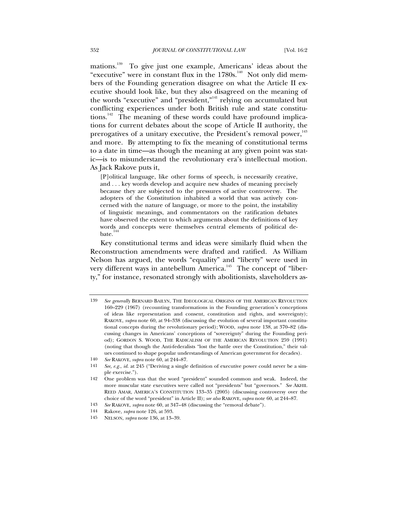mations.139 To give just one example, Americans' ideas about the "executive" were in constant flux in the 1780s.<sup>140</sup> Not only did members of the Founding generation disagree on what the Article II executive should look like, but they also disagreed on the meaning of the words "executive" and "president,"<sup>141</sup> relying on accumulated but conflicting experiences under both British rule and state constitutions.<sup>142</sup> The meaning of these words could have profound implications for current debates about the scope of Article II authority, the prerogatives of a unitary executive, the President's removal power,<sup>143</sup> and more. By attempting to fix the meaning of constitutional terms to a date in time—as though the meaning at any given point was static—is to misunderstand the revolutionary era's intellectual motion. As Jack Rakove puts it,

[P]olitical language, like other forms of speech, is necessarily creative, and . . . key words develop and acquire new shades of meaning precisely because they are subjected to the pressures of active controversy. The adopters of the Constitution inhabited a world that was actively concerned with the nature of language, or more to the point, the instability of linguistic meanings, and commentators on the ratification debates have observed the extent to which arguments about the definitions of key words and concepts were themselves central elements of political debate.<sup>144</sup>

Key constitutional terms and ideas were similarly fluid when the Reconstruction amendments were drafted and ratified. As William Nelson has argued, the words "equality" and "liberty" were used in very different ways in antebellum America.<sup>145</sup> The concept of "liberty," for instance, resonated strongly with abolitionists, slaveholders as-

<sup>139</sup> *See generally* BERNARD BAILYN, THE IDEOLOGICAL ORIGINS OF THE AMERICAN REVOLUTION 160–229 (1967) (recounting transformations in the Founding generation's conceptions of ideas like representation and consent, constitution and rights, and sovereignty); RAKOVE, *supra* note 60, at 94–338 (discussing the evolution of several important constitutional concepts during the revolutionary period); WOOD, *supra* note 138, at 370–82 (discussing changes in Americans' conceptions of "sovereignty" during the Founding period); GORDON S. WOOD, THE RADICALISM OF THE AMERICAN REVOLUTION 259 (1991) (noting that though the Anti-federalists "lost the battle over the Constitution," their values continued to shape popular understandings of American government for decades).

<sup>140</sup> *See* RAKOVE, *supra* note 60, at 244–87.

<sup>141</sup> *See, e.g.*, *id.* at 245 ("Deriving a single definition of executive power could never be a simple exercise.").

<sup>142</sup> One problem was that the word "president" sounded common and weak. Indeed, the more muscular state executives were called not "presidents" but "governors." *See* AKHIL REED AMAR, AMERICA'S CONSTITUTION 133–35 (2005) (discussing controversy over the choice of the word "president" in Article II); *see also* RAKOVE, *supra* note 60, at 244–87.

<sup>143</sup> *See* RAKOVE, *supra* note 60, at 347–48 (discussing the "removal debate").

<sup>144</sup> Rakove, *supra* note 126, at 593.

<sup>145</sup> NELSON, *supra* note 136, at 13–39.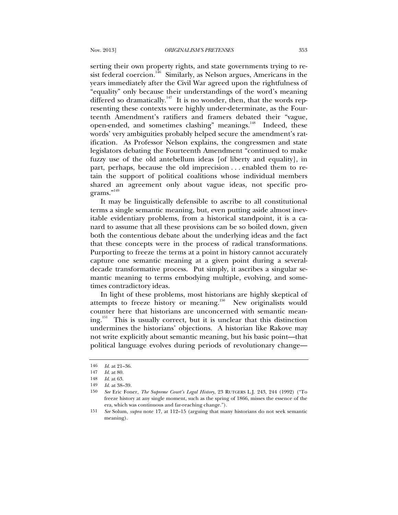serting their own property rights, and state governments trying to resist federal coercion.<sup>146</sup> Similarly, as Nelson argues, Americans in the years immediately after the Civil War agreed upon the rightfulness of "equality" only because their understandings of the word's meaning differed so dramatically.<sup>147</sup> It is no wonder, then, that the words representing these contexts were highly under-determinate, as the Fourteenth Amendment's ratifiers and framers debated their "vague, open-ended, and sometimes clashing" meanings.<sup>148</sup> Indeed, these words' very ambiguities probably helped secure the amendment's ratification. As Professor Nelson explains, the congressmen and state legislators debating the Fourteenth Amendment "continued to make fuzzy use of the old antebellum ideas [of liberty and equality], in part, perhaps, because the old imprecision . . . enabled them to retain the support of political coalitions whose individual members shared an agreement only about vague ideas, not specific programs."<sup>149</sup>

It may be linguistically defensible to ascribe to all constitutional terms a single semantic meaning, but, even putting aside almost inevitable evidentiary problems, from a historical standpoint, it is a canard to assume that all these provisions can be so boiled down, given both the contentious debate about the underlying ideas and the fact that these concepts were in the process of radical transformations. Purporting to freeze the terms at a point in history cannot accurately capture one semantic meaning at a given point during a severaldecade transformative process. Put simply, it ascribes a singular semantic meaning to terms embodying multiple, evolving, and sometimes contradictory ideas.

In light of these problems, most historians are highly skeptical of attempts to freeze history or meaning.<sup>150</sup> New originalists would counter here that historians are unconcerned with semantic mean $ing.<sup>151</sup>$  This is usually correct, but it is unclear that this distinction undermines the historians' objections. A historian like Rakove may not write explicitly about semantic meaning, but his basic point—that political language evolves during periods of revolutionary change—

<sup>146</sup> *Id.* at 21–36.

<sup>147</sup> *Id.* at 80.

<sup>148</sup> *Id*. at 63.

<sup>149</sup> *Id.* at 38–39.

<sup>150</sup> *See* Eric Foner, *The Supreme Court's Legal History*, 23 RUTGERS L.J. 243, 244 (1992) ("To freeze history at any single moment, such as the spring of 1866, misses the essence of the era, which was continuous and far-reaching change.").

<sup>151</sup> *See* Solum, *supra* note 17, at 112–15 (arguing that many historians do not seek semantic meaning).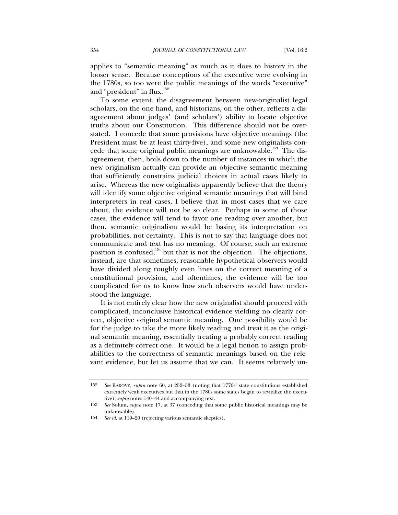applies to "semantic meaning" as much as it does to history in the looser sense. Because conceptions of the executive were evolving in the 1780s, so too were the public meanings of the words "executive" and "president" in flux.<sup>152</sup>

To some extent, the disagreement between new-originalist legal scholars, on the one hand, and historians, on the other, reflects a disagreement about judges' (and scholars') ability to locate objective truths about our Constitution. This difference should not be overstated. I concede that some provisions have objective meanings (the President must be at least thirty-five), and some new originalists concede that some original public meanings are unknowable.<sup>153</sup> The disagreement, then, boils down to the number of instances in which the new originalism actually can provide an objective semantic meaning that sufficiently constrains judicial choices in actual cases likely to arise. Whereas the new originalists apparently believe that the theory will identify some objective original semantic meanings that will bind interpreters in real cases, I believe that in most cases that we care about, the evidence will not be so clear. Perhaps in some of those cases, the evidence will tend to favor one reading over another, but then, semantic originalism would be basing its interpretation on probabilities, not certainty. This is not to say that language does not communicate and text has no meaning. Of course, such an extreme position is confused, $154}$  but that is not the objection. The objections, instead, are that sometimes, reasonable hypothetical observers would have divided along roughly even lines on the correct meaning of a constitutional provision, and oftentimes, the evidence will be too complicated for us to know how such observers would have understood the language.

It is not entirely clear how the new originalist should proceed with complicated, inconclusive historical evidence yielding no clearly correct, objective original semantic meaning. One possibility would be for the judge to take the more likely reading and treat it as the original semantic meaning, essentially treating a probably correct reading as a definitely correct one. It would be a legal fiction to assign probabilities to the correctness of semantic meanings based on the relevant evidence, but let us assume that we can. It seems relatively un-

<sup>152</sup> *See* RAKOVE, *supra* note 60, at 252–53 (noting that 1770s' state constitutions established extremely weak executives but that in the 1780s some states began to revitalize the executive); *supra* notes 140–44 and accompanying text.

<sup>153</sup> *See* Solum, *supra* note 17, at 37 (conceding that some public historical meanings may be unknowable).

<sup>154</sup> *See id.* at 119–20 (rejecting various semantic skeptics).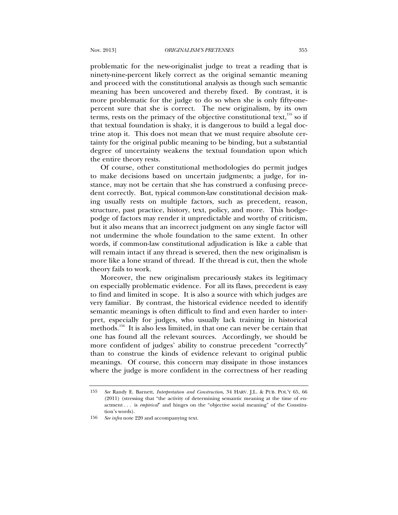problematic for the new-originalist judge to treat a reading that is ninety-nine-percent likely correct as the original semantic meaning and proceed with the constitutional analysis as though such semantic meaning has been uncovered and thereby fixed. By contrast, it is more problematic for the judge to do so when she is only fifty-onepercent sure that she is correct. The new originalism, by its own terms, rests on the primacy of the objective constitutional text, $155$  so if that textual foundation is shaky, it is dangerous to build a legal doctrine atop it. This does not mean that we must require absolute certainty for the original public meaning to be binding, but a substantial degree of uncertainty weakens the textual foundation upon which the entire theory rests.

Of course, other constitutional methodologies do permit judges to make decisions based on uncertain judgments; a judge, for instance, may not be certain that she has construed a confusing precedent correctly. But, typical common-law constitutional decision making usually rests on multiple factors, such as precedent, reason, structure, past practice, history, text, policy, and more. This hodgepodge of factors may render it unpredictable and worthy of criticism, but it also means that an incorrect judgment on any single factor will not undermine the whole foundation to the same extent. In other words, if common-law constitutional adjudication is like a cable that will remain intact if any thread is severed, then the new originalism is more like a lone strand of thread. If the thread is cut, then the whole theory fails to work.

Moreover, the new originalism precariously stakes its legitimacy on especially problematic evidence. For all its flaws, precedent is easy to find and limited in scope. It is also a source with which judges are very familiar. By contrast, the historical evidence needed to identify semantic meanings is often difficult to find and even harder to interpret, especially for judges, who usually lack training in historical methods.<sup>156</sup> It is also less limited, in that one can never be certain that one has found all the relevant sources. Accordingly, we should be more confident of judges' ability to construe precedent "correctly" than to construe the kinds of evidence relevant to original public meanings. Of course, this concern may dissipate in those instances where the judge is more confident in the correctness of her reading

<sup>155</sup> *See* Randy E. Barnett, *Interpretation and Construction*, 34 HARV. J.L. & PUB. POL'Y 65, 66 (2011) (stressing that "the activity of determining semantic meaning at the time of enactment . . . is *empirical*" and hinges on the "objective social meaning" of the Constitution's words).

<sup>156</sup> *See infra* note 220 and accompanying text.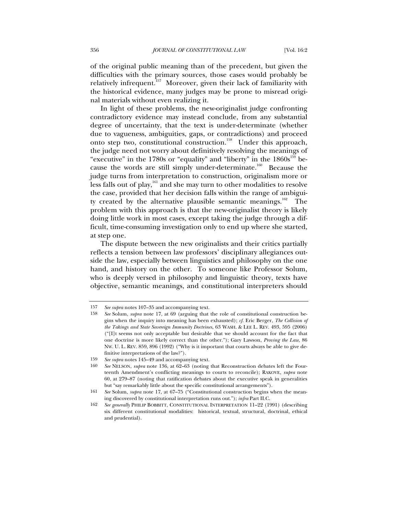of the original public meaning than of the precedent, but given the difficulties with the primary sources, those cases would probably be relatively infrequent.<sup>157</sup> Moreover, given their lack of familiarity with the historical evidence, many judges may be prone to misread original materials without even realizing it.

In light of these problems, the new-originalist judge confronting contradictory evidence may instead conclude, from any substantial degree of uncertainty, that the text is under-determinate (whether due to vagueness, ambiguities, gaps, or contradictions) and proceed onto step two, constitutional construction.<sup>158</sup> Under this approach, the judge need not worry about definitively resolving the meanings of "executive" in the 1780s or "equality" and "liberty" in the  $1860s^{159}$  because the words are still simply under-determinate.<sup>160</sup> Because the judge turns from interpretation to construction, originalism more or less falls out of play,<sup>161</sup> and she may turn to other modalities to resolve the case, provided that her decision falls within the range of ambiguity created by the alternative plausible semantic meanings.<sup>162</sup> The problem with this approach is that the new-originalist theory is likely doing little work in most cases, except taking the judge through a difficult, time-consuming investigation only to end up where she started, at step one.

The dispute between the new originalists and their critics partially reflects a tension between law professors' disciplinary allegiances outside the law, especially between linguistics and philosophy on the one hand, and history on the other. To someone like Professor Solum, who is deeply versed in philosophy and linguistic theory, texts have objective, semantic meanings, and constitutional interpreters should

<sup>157</sup> *See supra* notes 107–35 and accompanying text.

<sup>158</sup> *See* Solum, *supra* note 17, at 69 (arguing that the role of constitutional construction begins when the inquiry into meaning has been exhausted); *cf.* Eric Berger, *The Collision of the Takings and State Sovereign Immunity Doctrines*, 63 WASH. & LEE L. REV. 493, 595 (2006) ("[I]t seems not only acceptable but desirable that we should account for the fact that one doctrine is more likely correct than the other."); Gary Lawson, *Proving the Law*, 86 NW. U. L. REV. 859, 896 (1992) ("Why is it important that courts always be able to give definitive interpretations of the law?").

<sup>159</sup> *See supra* notes 145–49 and accompanying text.

<sup>160</sup> *See* NELSON, *supra* note 136, at 62–63 (noting that Reconstruction debates left the Fourteenth Amendment's conflicting meanings to courts to reconcile); RAKOVE, *supra* note 60, at 279–87 (noting that ratification debates about the executive speak in generalities but "say remarkably little about the specific constitutional arrangements").

<sup>161</sup> *See* Solum, *supra* note 17, at 67–75 ("Constitutional construction begins when the meaning discovered by constitutional interpretation runs out."); *infra* Part II.C.

<sup>162</sup> *See generally* PHILIP BOBBITT, CONSTITUTIONAL INTERPRETATION 11–22 (1991) (describing six different constitutional modalities: historical, textual, structural, doctrinal, ethical and prudential).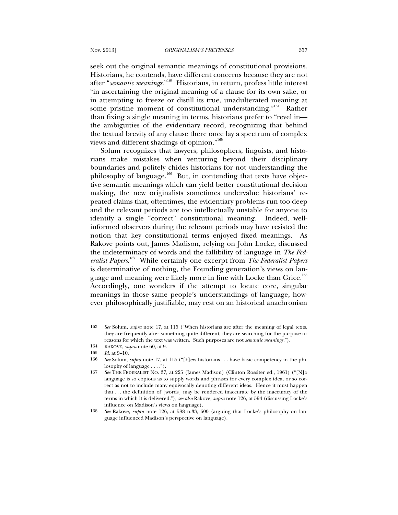seek out the original semantic meanings of constitutional provisions. Historians, he contends, have different concerns because they are not after "*semantic meanings*."163 Historians, in return, profess little interest "in ascertaining the original meaning of a clause for its own sake, or in attempting to freeze or distill its true, unadulterated meaning at some pristine moment of constitutional understanding.<sup>"164</sup> Rather than fixing a single meaning in terms, historians prefer to "revel in the ambiguities of the evidentiary record, recognizing that behind the textual brevity of any clause there once lay a spectrum of complex views and different shadings of opinion."165

Solum recognizes that lawyers, philosophers, linguists, and historians make mistakes when venturing beyond their disciplinary boundaries and politely chides historians for not understanding the philosophy of language.<sup>166</sup> But, in contending that texts have objective semantic meanings which can yield better constitutional decision making, the new originalists sometimes undervalue historians' repeated claims that, oftentimes, the evidentiary problems run too deep and the relevant periods are too intellectually unstable for anyone to identify a single "correct" constitutional meaning. Indeed, wellinformed observers during the relevant periods may have resisted the notion that key constitutional terms enjoyed fixed meanings. As Rakove points out, James Madison, relying on John Locke, discussed the indeterminacy of words and the fallibility of language in *The Federalist Papers*. 167 While certainly one excerpt from *The Federalist Papers* is determinative of nothing, the Founding generation's views on language and meaning were likely more in line with Locke than Grice.<sup>168</sup> Accordingly, one wonders if the attempt to locate core, singular meanings in those same people's understandings of language, however philosophically justifiable, may rest on an historical anachronism

<sup>163</sup> *See* Solum, *supra* note 17, at 115 ("When historians are after the meaning of legal texts, they are frequently after something quite different; they are searching for the purpose or reasons for which the text was written. Such purposes are not *semantic meanings*.").

<sup>164</sup> RAKOVE, *supra* note 60, at 9.

<sup>165</sup> *Id.* at 9–10.

<sup>166</sup> *See* Solum, *supra* note 17, at 115 ("[F]ew historians . . . have basic competency in the philosophy of language . . . .").

<sup>167</sup> *See* THE FEDERALIST NO. 37, at 225 (James Madison) (Clinton Rossiter ed., 1961) ("[N]o language is so copious as to supply words and phrases for every complex idea, or so correct as not to include many equivocally denoting different ideas. Hence it must happen that . . . the definition of [words] may be rendered inaccurate by the inaccuracy of the terms in which it is delivered."); *see also* Rakove, *supra* note 126, at 594 (discussing Locke's influence on Madison's views on language).

<sup>168</sup> *See* Rakove, *supra* note 126, at 588 n.33, 600 (arguing that Locke's philosophy on language influenced Madison's perspective on language).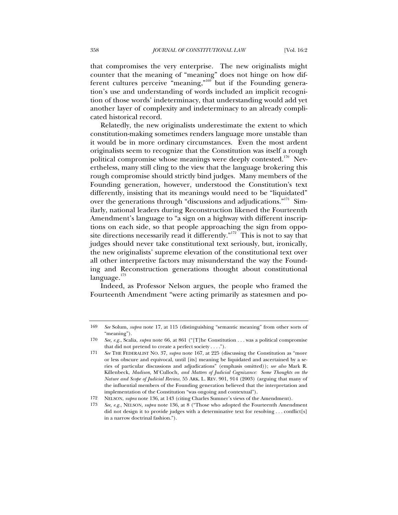that compromises the very enterprise. The new originalists might counter that the meaning of "meaning" does not hinge on how different cultures perceive "meaning,"<sup>169</sup> but if the Founding generation's use and understanding of words included an implicit recognition of those words' indeterminacy, that understanding would add yet another layer of complexity and indeterminacy to an already complicated historical record.

Relatedly, the new originalists underestimate the extent to which constitution-making sometimes renders language more unstable than it would be in more ordinary circumstances. Even the most ardent originalists seem to recognize that the Constitution was itself a rough political compromise whose meanings were deeply contested.<sup>170</sup> Nevertheless, many still cling to the view that the language brokering this rough compromise should strictly bind judges. Many members of the Founding generation, however, understood the Constitution's text differently, insisting that its meanings would need to be "liquidated" over the generations through "discussions and adjudications."<sup>171</sup> Similarly, national leaders during Reconstruction likened the Fourteenth Amendment's language to "a sign on a highway with different inscriptions on each side, so that people approaching the sign from opposite directions necessarily read it differently."<sup>172</sup> This is not to say that judges should never take constitutional text seriously, but, ironically, the new originalists' supreme elevation of the constitutional text over all other interpretive factors may misunderstand the way the Founding and Reconstruction generations thought about constitutional  $language.$ <sup>173</sup>

Indeed, as Professor Nelson argues, the people who framed the Fourteenth Amendment "were acting primarily as statesmen and po-

<sup>169</sup> *See* Solum, *supra* note 17, at 115 (distinguishing "semantic meaning" from other sorts of "meaning").

<sup>170</sup> *See, e.g.*, Scalia, *supra* note 66, at 861 ("[T]he Constitution . . . was a political compromise that did not pretend to create a perfect society . . . .").

<sup>171</sup> *See* THE FEDERALIST NO. 37, *supra* note 167, at 225 (discussing the Constitution as "more or less obscure and equivocal, until [its] meaning be liquidated and ascertained by a series of particular discussions and adjudications" (emphasis omitted)); *see also* Mark R. Killenbeck, *Madison,* M'Culloch*, and Matters of Judicial Cognizance: Some Thoughts on the Nature and Scope of Judicial Review*, 55 ARK. L. REV. 901, 914 (2003) (arguing that many of the influential members of the Founding generation believed that the interpretation and implementation of the Constitution "was ongoing and contextual").

<sup>172</sup> NELSON, *supra* note 136, at 143 (citing Charles Sumner's views of the Amendment).

<sup>173</sup> *See, e.g.*, NELSON, *supra* note 136, at 8 ("Those who adopted the Fourteenth Amendment did not design it to provide judges with a determinative text for resolving . . . conflict[s] in a narrow doctrinal fashion.").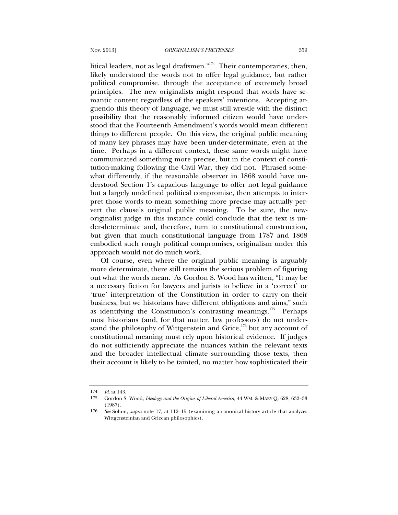litical leaders, not as legal draftsmen."<sup>174</sup> Their contemporaries, then, likely understood the words not to offer legal guidance, but rather political compromise, through the acceptance of extremely broad principles. The new originalists might respond that words have semantic content regardless of the speakers' intentions. Accepting arguendo this theory of language, we must still wrestle with the distinct possibility that the reasonably informed citizen would have understood that the Fourteenth Amendment's words would mean different things to different people. On this view, the original public meaning of many key phrases may have been under-determinate, even at the time. Perhaps in a different context, these same words might have communicated something more precise, but in the context of constitution-making following the Civil War, they did not. Phrased somewhat differently, if the reasonable observer in 1868 would have understood Section 1's capacious language to offer not legal guidance but a largely undefined political compromise, then attempts to interpret those words to mean something more precise may actually pervert the clause's original public meaning. To be sure, the neworiginalist judge in this instance could conclude that the text is under-determinate and, therefore, turn to constitutional construction, but given that much constitutional language from 1787 and 1868 embodied such rough political compromises, originalism under this approach would not do much work.

Of course, even where the original public meaning is arguably more determinate, there still remains the serious problem of figuring out what the words mean. As Gordon S. Wood has written, "It may be a necessary fiction for lawyers and jurists to believe in a 'correct' or 'true' interpretation of the Constitution in order to carry on their business, but we historians have different obligations and aims," such as identifying the Constitution's contrasting meanings.<sup>175</sup> Perhaps most historians (and, for that matter, law professors) do not understand the philosophy of Wittgenstein and  $\overline{\text{Grice}}$ ,<sup>176</sup> but any account of constitutional meaning must rely upon historical evidence. If judges do not sufficiently appreciate the nuances within the relevant texts and the broader intellectual climate surrounding those texts, then their account is likely to be tainted, no matter how sophisticated their

<sup>174</sup> *Id*. at 143.

<sup>175</sup> Gordon S. Wood, *Ideology and the Origins of Liberal America*, 44 WM. & MARY Q. 628, 632–33 (1987).

<sup>176</sup> *See* Solum, *supra* note 17, at 112–15 (examining a canonical history article that analyzes Wittgensteinian and Gricean philosophies).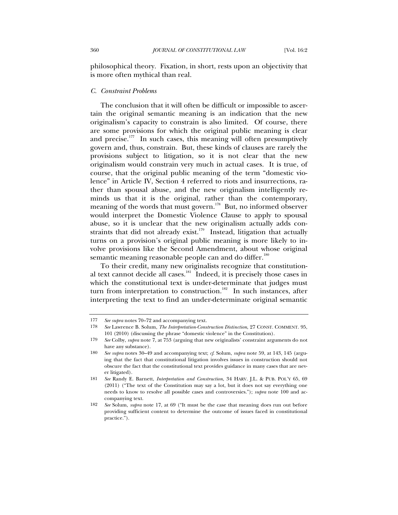philosophical theory. Fixation, in short, rests upon an objectivity that is more often mythical than real.

#### *C. Constraint Problems*

The conclusion that it will often be difficult or impossible to ascertain the original semantic meaning is an indication that the new originalism's capacity to constrain is also limited. Of course, there are some provisions for which the original public meaning is clear and precise. $177$  In such cases, this meaning will often presumptively govern and, thus, constrain. But, these kinds of clauses are rarely the provisions subject to litigation, so it is not clear that the new originalism would constrain very much in actual cases. It is true, of course, that the original public meaning of the term "domestic violence" in Article IV, Section 4 referred to riots and insurrections, rather than spousal abuse, and the new originalism intelligently reminds us that it is the original, rather than the contemporary, meaning of the words that must govern.<sup>178</sup> But, no informed observer would interpret the Domestic Violence Clause to apply to spousal abuse, so it is unclear that the new originalism actually adds constraints that did not already exist.<sup>179</sup> Instead, litigation that actually turns on a provision's original public meaning is more likely to involve provisions like the Second Amendment, about whose original semantic meaning reasonable people can and do differ.<sup>180</sup>

To their credit, many new originalists recognize that constitutional text cannot decide all cases.<sup>181</sup> Indeed, it is precisely those cases in which the constitutional text is under-determinate that judges must turn from interpretation to construction.<sup>182</sup> In such instances, after interpreting the text to find an under-determinate original semantic

<sup>177</sup> *See supra* notes 70–72 and accompanying text.

<sup>178</sup> *See* Lawrence B. Solum, *The Interpretation-Construction Distinction*, 27 CONST. COMMENT. 95, 101 (2010) (discussing the phrase "domestic violence" in the Constitution).

<sup>179</sup> *See* Colby, *supra* note 7, at 753 (arguing that new originalists' constraint arguments do not have any substance).

<sup>180</sup> *See supra* notes 30–49 and accompanying text; *cf*. Solum, *supra* note 59, at 143, 145 (arguing that the fact that constitutional litigation involves issues in construction should not obscure the fact that the constitutional text provides guidance in many cases that are never litigated).

<sup>181</sup> *See* Randy E. Barnett, *Interpretation and Construction*, 34 HARV. J.L. & PUB. POL'Y 65, 69 (2011) ("The text of the Constitution may say a lot, but it does not say everything one needs to know to resolve all possible cases and controversies."); *supra* note 100 and accompanying text.

<sup>182</sup> *See* Solum, *supra* note 17, at 69 ("It must be the case that meaning does run out before providing sufficient content to determine the outcome of issues faced in constitutional practice.").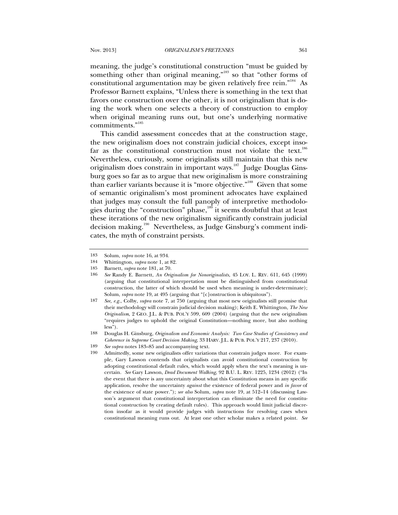meaning, the judge's constitutional construction "must be guided by something other than original meaning,"<sup>183</sup> so that "other forms of constitutional argumentation may be given relatively free rein."<sup>184</sup> As Professor Barnett explains, "Unless there is something in the text that favors one construction over the other, it is not originalism that is doing the work when one selects a theory of construction to employ when original meaning runs out, but one's underlying normative commitments."<sup>185</sup>

This candid assessment concedes that at the construction stage, the new originalism does not constrain judicial choices, except insofar as the constitutional construction must not violate the text.<sup>186</sup> Nevertheless, curiously, some originalists still maintain that this new originalism does constrain in important ways.<sup>187</sup> Judge Douglas Ginsburg goes so far as to argue that new originalism is more constraining than earlier variants because it is "more objective."188 Given that some of semantic originalism's most prominent advocates have explained that judges may consult the full panoply of interpretive methodologies during the "construction" phase,<sup>189</sup> it seems doubtful that at least these iterations of the new originalism significantly constrain judicial decision making.190 Nevertheless, as Judge Ginsburg's comment indicates, the myth of constraint persists.

<sup>183</sup> Solum, *supra* note 16, at 934.

<sup>184</sup> Whittington, *supra* note 1, at 82.

<sup>185</sup> Barnett, *supra* note 181, at 70.

<sup>186</sup> *See* Randy E. Barnett, *An Originalism for Nonoriginalists*, 45 LOY. L. REV. 611, 645 (1999) (arguing that constitutional interpretation must be distinguished from constitutional construction, the latter of which should be used when meaning is under-determinate); Solum, *supra* note 19, at 495 (arguing that "[c]onstruction is ubiquitous").

<sup>187</sup> *See, e.g.*, Colby, *supra* note 7, at 750 (arguing that most new originalists still promise that their methodology will constrain judicial decision making); Keith E. Whittington, *The New Originalism*, 2 GEO. J.L. & PUB. POL'Y 599, 609 (2004) (arguing that the new originalism "requires judges to uphold the original Constitution—nothing more, but also nothing less").

<sup>188</sup> Douglas H. Ginsburg, *Originalism and Economic Analysis: Two Case Studies of Consistency and Coherence in Supreme Court Decision Making*, 33 HARV. J.L. & PUB. POL'Y 217, 237 (2010).

<sup>189</sup> *See supra* notes 183–85 and accompanying text.

<sup>190</sup> Admittedly, some new originalists offer variations that constrain judges more. For example, Gary Lawson contends that originalists can avoid constitutional construction by adopting constitutional default rules, which would apply when the text's meaning is uncertain. *See* Gary Lawson, *Dead Document Walking*, 92 B.U. L. REV. 1225, 1234 (2012) ("In the event that there is any uncertainty about what this Constitution means in any specific application, resolve the uncertainty *against* the existence of federal power and *in favor* of the existence of state power."); *see also* Solum, *supra* note 19, at 512–14 (discussing Lawson's argument that constitutional interpretation can eliminate the need for constitutional construction by creating default rules). This approach would limit judicial discretion insofar as it would provide judges with instructions for resolving cases when constitutional meaning runs out. At least one other scholar makes a related point. *See*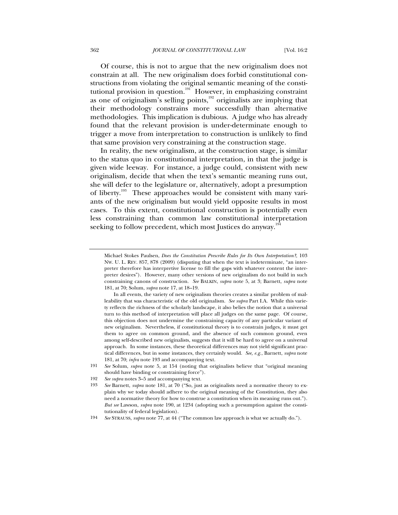Of course, this is not to argue that the new originalism does not constrain at all. The new originalism does forbid constitutional constructions from violating the original semantic meaning of the constitutional provision in question.<sup>191</sup> However, in emphasizing constraint as one of originalism's selling points, $\frac{1}{2}$  originalists are implying that their methodology constrains more successfully than alternative methodologies. This implication is dubious. A judge who has already found that the relevant provision is under-determinate enough to trigger a move from interpretation to construction is unlikely to find that same provision very constraining at the construction stage.

In reality, the new originalism, at the construction stage, is similar to the status quo in constitutional interpretation, in that the judge is given wide leeway. For instance, a judge could, consistent with new originalism, decide that when the text's semantic meaning runs out, she will defer to the legislature or, alternatively, adopt a presumption of liberty.<sup>193</sup> These approaches would be consistent with many variants of the new originalism but would yield opposite results in most cases. To this extent, constitutional construction is potentially even less constraining than common law constitutional interpretation seeking to follow precedent, which most Justices do anyway.<sup>194</sup>

 In all events, the variety of new originalism theories creates a similar problem of malleability that was characteristic of the old originalism. *See supra* Part I.A. While this variety reflects the richness of the scholarly landscape, it also belies the notion that a universal turn to this method of interpretation will place all judges on the same page. Of course, this objection does not undermine the constraining capacity of any particular variant of new originalism. Nevertheless, if constitutional theory is to constrain judges, it must get them to agree on common ground, and the absence of such common ground, even among self-described new originalists, suggests that it will be hard to agree on a universal approach. In some instances, these theoretical differences may not yield significant practical differences, but in some instances, they certainly would. *See, e.g.*, Barnett, *supra* note 181, at 70; *infra* note 193 and accompanying text.

Michael Stokes Paulsen, *Does the Constitution Prescribe Rules for Its Own Interpretation?*, 103 NW. U. L. REV. 857, 878 (2009) (disputing that when the text is indeterminate, "an interpreter therefore has interpretive license to fill the gaps with whatever content the interpreter desires"). However, many other versions of new originalism do not build in such constraining canons of construction. *See* BALKIN, *supra* note 5, at 3; Barnett, *supra* note 181, at 70; Solum, *supra* note 17, at 18–19.

<sup>191</sup> *See* Solum, *supra* note 5, at 154 (noting that originalists believe that "original meaning should have binding or constraining force").

<sup>192</sup> *See supra* notes 3–5 and accompanying text.

<sup>193</sup> *See* Barnett, *supra* note 181, at 70 ("So, just as originalists need a normative theory to explain why we today should adhere to the original meaning of the Constitution, they also need a normative theory for how to construe a constitution when its meaning runs out."). *But see* Lawson, *supra* note 190, at 1234 (adopting such a presumption against the constitutionality of federal legislation).

<sup>194</sup> *See* STRAUSS, *supra* note 77, at 44 ("The common law approach is what we actually do.").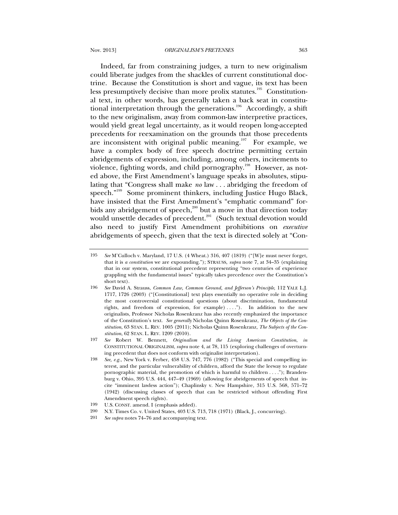Indeed, far from constraining judges, a turn to new originalism could liberate judges from the shackles of current constitutional doctrine. Because the Constitution is short and vague, its text has been less presumptively decisive than more prolix statutes.<sup>195</sup> Constitutional text, in other words, has generally taken a back seat in constitutional interpretation through the generations.<sup>196</sup> Accordingly, a shift to the new originalism, away from common-law interpretive practices, would yield great legal uncertainty, as it would reopen long-accepted precedents for reexamination on the grounds that those precedents are inconsistent with original public meaning.<sup>197</sup> For example, we have a complex body of free speech doctrine permitting certain abridgements of expression, including, among others, incitements to violence, fighting words, and child pornography.<sup>198</sup> However, as noted above, the First Amendment's language speaks in absolutes, stipulating that "Congress shall make *no* law . . . abridging the freedom of speech."<sup>199</sup> Some prominent thinkers, including Justice Hugo Black, have insisted that the First Amendment's "emphatic command" forbids any abridgement of speech, $200$  but a move in that direction today would unsettle decades of precedent.<sup>201</sup> (Such textual devotion would also need to justify First Amendment prohibitions on *executive* abridgements of speech, given that the text is directed solely at "Con-

<sup>195</sup> *See* M'Culloch v. Maryland, 17 U.S. (4 Wheat.) 316, 407 (1819) ("[W]e must never forget, that it is *a constitution* we are expounding."); STRAUSS, *supra* note 7, at 34–35 (explaining that in our system, constitutional precedent representing "two centuries of experience grappling with the fundamental issues" typically takes precedence over the Constitution's short text).

<sup>196</sup> *See* David A. Strauss, *Common Law, Common Ground, and Jefferson's Principle*, 112 YALE L.J. 1717, 1726 (2003) ("[Constitutional] text plays essentially no operative role in deciding the most controversial constitutional questions (about discrimination, fundamental rights, and freedom of expression, for example)  $\dots$ "). In addition to the new originalists, Professor Nicholas Rosenkranz has also recently emphasized the importance of the Constitution's text. *See generally* Nicholas Quinn Rosenkranz, *The Objects of the Constitution*, 63 STAN. L. REV. 1005 (2011); Nicholas Quinn Rosenkranz, *The Subjects of the Constitution*, 62 STAN. L. REV. 1209 (2010).

<sup>197</sup> *See* Robert W. Bennett, *Originalism and the Living American Constitution*, *in* CONSTITUTIONAL ORIGINALISM, *supra* note 4, at 78, 115 (exploring challenges of overturning precedent that does not conform with originalist interpretation).

<sup>198</sup> *See, e.g.*, New York v. Ferber, 458 U.S. 747, 776 (1982) ("This special and compelling interest, and the particular vulnerability of children, afford the State the leeway to regulate pornographic material, the promotion of which is harmful to children . . . ."); Brandenburg v. Ohio, 395 U.S. 444, 447–49 (1969) (allowing for abridgements of speech that incite "imminent lawless action"); Chaplinsky v. New Hampshire, 315 U.S. 568, 571–72 (1942) (discussing classes of speech that can be restricted without offending First Amendment speech rights).

<sup>199</sup> U.S. CONST. amend. I (emphasis added).

<sup>200</sup> N.Y. Times Co. v. United States, 403 U.S. 713, 718 (1971) (Black, J., concurring).

<sup>201</sup> *See supra* notes 74–76 and accompanying text.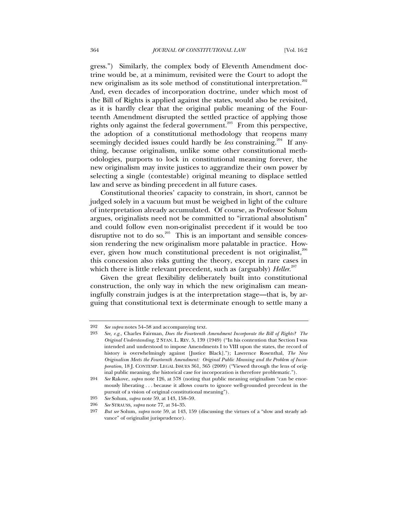gress.") Similarly, the complex body of Eleventh Amendment doctrine would be, at a minimum, revisited were the Court to adopt the new originalism as its sole method of constitutional interpretation.<sup>202</sup> And, even decades of incorporation doctrine, under which most of the Bill of Rights is applied against the states, would also be revisited, as it is hardly clear that the original public meaning of the Fourteenth Amendment disrupted the settled practice of applying those rights only against the federal government.<sup>203</sup> From this perspective, the adoption of a constitutional methodology that reopens many seemingly decided issues could hardly be *less* constraining.<sup>204</sup> If anything, because originalism, unlike some other constitutional methodologies, purports to lock in constitutional meaning forever, the new originalism may invite justices to aggrandize their own power by selecting a single (contestable) original meaning to displace settled law and serve as binding precedent in all future cases.

Constitutional theories' capacity to constrain, in short, cannot be judged solely in a vacuum but must be weighed in light of the culture of interpretation already accumulated. Of course, as Professor Solum argues, originalists need not be committed to "irrational absolutism" and could follow even non-originalist precedent if it would be too disruptive not to do so.<sup>205</sup> This is an important and sensible concession rendering the new originalism more palatable in practice. However, given how much constitutional precedent is not originalist,<sup>206</sup> this concession also risks gutting the theory, except in rare cases in which there is little relevant precedent, such as (arguably) *Heller*. 207

Given the great flexibility deliberately built into constitutional construction, the only way in which the new originalism can meaningfully constrain judges is at the interpretation stage—that is, by arguing that constitutional text is determinate enough to settle many a

<sup>202</sup> *See supra* notes 54–58 and accompanying text.

<sup>203</sup> *See, e.g.*, Charles Fairman, *Does the Fourteenth Amendment Incorporate the Bill of Rights? The Original Understanding*, 2 STAN. L. REV. 5, 139 (1949) ("In his contention that Section I was intended and understood to impose Amendments I to VIII upon the states, the record of history is overwhelmingly against [Justice Black]."); Lawrence Rosenthal, *The New Originalism Meets the Fourteenth Amendment: Original Public Meaning and the Problem of Incorporation*, 18 J. CONTEMP. LEGAL ISSUES 361, 365 (2009) ("Viewed through the lens of original public meaning, the historical case for incorporation is therefore problematic.").

<sup>204</sup> *See* Rakove, *supra* note 126, at 578 (noting that public meaning originalism "can be enormously liberating . . . because it allows courts to ignore well-grounded precedent in the pursuit of a vision of original constitutional meaning").

<sup>205</sup> *See* Solum, *supra* note 59, at 143, 158–59.

<sup>206</sup> *See* STRAUSS, *supra* note 77, at 34–35.

<sup>207</sup> *But see* Solum, *supra* note 59, at 143, 159 (discussing the virtues of a "slow and steady advance" of originalist jurisprudence).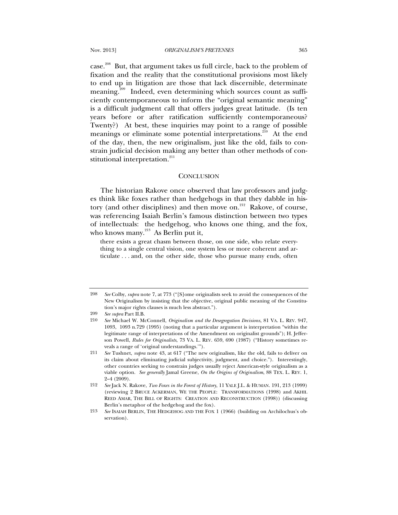Nov. 2013] *ORIGINALISM'S PRETENSES* 365

case.<sup>208</sup> But, that argument takes us full circle, back to the problem of fixation and the reality that the constitutional provisions most likely to end up in litigation are those that lack discernible, determinate meaning.<sup>209</sup> Indeed, even determining which sources count as sufficiently contemporaneous to inform the "original semantic meaning" is a difficult judgment call that offers judges great latitude. (Is ten years before or after ratification sufficiently contemporaneous? Twenty?) At best, these inquiries may point to a range of possible meanings or eliminate some potential interpretations.<sup>210</sup> At the end of the day, then, the new originalism, just like the old, fails to constrain judicial decision making any better than other methods of constitutional interpretation.<sup>211</sup>

#### **CONCLUSION**

The historian Rakove once observed that law professors and judges think like foxes rather than hedgehogs in that they dabble in history (and other disciplines) and then move on.<sup>212</sup> Rakove, of course, was referencing Isaiah Berlin's famous distinction between two types of intellectuals: the hedgehog, who knows one thing, and the fox, who knows many. $^{213}$  As Berlin put it,

there exists a great chasm between those, on one side, who relate everything to a single central vision, one system less or more coherent and articulate . . . and, on the other side, those who pursue many ends, often

<sup>208</sup> *See* Colby, *supra* note 7, at 773 ("[S]ome originalists seek to avoid the consequences of the New Originalism by insisting that the objective, original public meaning of the Constitution's major rights clauses is much less abstract.").

<sup>209</sup> *See supra* Part II.B.

<sup>210</sup> *See* Michael W. McConnell, *Originalism and the Desegregation Decisions*, 81 VA. L. REV. 947, 1093, 1093 n.729 (1995) (noting that a particular argument is interpretation "within the legitimate range of interpretations of the Amendment on originalist grounds"); H. Jefferson Powell, *Rules for Originalists*, 73 VA. L. REV. 659, 690 (1987) ("History sometimes reveals a range of 'original understandings.'").

<sup>211</sup> *See* Tushnet, *supra* note 43, at 617 ("The new originalism, like the old, fails to deliver on its claim about eliminating judicial subjectivity, judgment, and choice."). Interestingly, other countries seeking to constrain judges usually reject American-style originalism as a viable option. *See generally* Jamal Greene, *On the Origins of Originalism*, 88 TEX. L. REV. 1, 2–4 (2009).

<sup>212</sup> *See* Jack N. Rakove, *Two Foxes in the Forest of History*, 11 YALE J.L. & HUMAN. 191, 213 (1999) (reviewing 2 BRUCE ACKERMAN, WE THE PEOPLE: TRANSFORMATIONS (1998) and AKHIL REED AMAR, THE BILL OF RIGHTS: CREATION AND RECONSTRUCTION (1998)) (discussing Berlin's metaphor of the hedgehog and the fox).

<sup>213</sup> *See* ISAIAH BERLIN, THE HEDGEHOG AND THE FOX 1 (1966) (building on Archilochus's observation).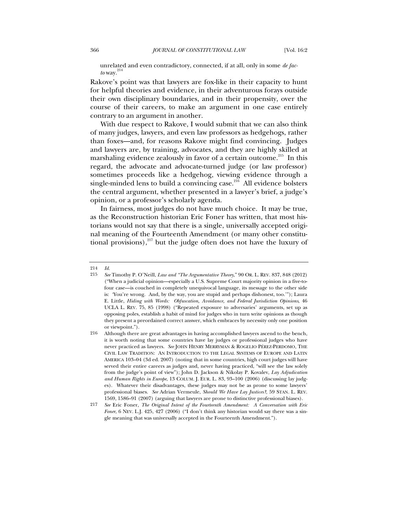unrelated and even contradictory, connected, if at all, only in some *de fac* $to$  way. $^{214}$ 

Rakove's point was that lawyers are fox-like in their capacity to hunt for helpful theories and evidence, in their adventurous forays outside their own disciplinary boundaries, and in their propensity, over the course of their careers, to make an argument in one case entirely contrary to an argument in another.

With due respect to Rakove, I would submit that we can also think of many judges, lawyers, and even law professors as hedgehogs, rather than foxes—and, for reasons Rakove might find convincing. Judges and lawyers are, by training, advocates, and they are highly skilled at marshaling evidence zealously in favor of a certain outcome.<sup>215</sup> In this regard, the advocate and advocate-turned judge (or law professor) sometimes proceeds like a hedgehog, viewing evidence through a single-minded lens to build a convincing case.<sup>216</sup> All evidence bolsters the central argument, whether presented in a lawyer's brief, a judge's opinion, or a professor's scholarly agenda.

In fairness, most judges do not have much choice. It may be true, as the Reconstruction historian Eric Foner has written, that most historians would not say that there is a single, universally accepted original meaning of the Fourteenth Amendment (or many other constitutional provisions), $^{217}$  but the judge often does not have the luxury of

<sup>214</sup> *Id.*

<sup>215</sup> *See* Timothy P. O'Neill, *Law and "The Argumentative Theory*," 90 OR. L. REV. 837, 848 (2012) ("When a judicial opinion—especially a U.S. Supreme Court majority opinion in a five-tofour case—is couched in completely unequivocal language, its message to the other side is: 'You're wrong. And, by the way, you are stupid and perhaps dishonest, too.'"); Laura E. Little, *Hiding with Words: Obfuscation, Avoidance, and Federal Jurisdiction Opinions*, 46 UCLA L. REV. 75, 85 (1998) ("Repeated exposure to adversaries' arguments, set up as opposing poles, establish a habit of mind for judges who in turn write opinions as though they present a preordained correct answer, which embraces by necessity only one position or viewpoint.").

<sup>216</sup> Although there are great advantages in having accomplished lawyers ascend to the bench, it is worth noting that some countries have lay judges or professional judges who have never practiced as lawyers. *See* JOHN HENRY MERRYMAN & ROGELIO PÉREZ-PERDOMO, THE CIVIL LAW TRADITION: AN INTRODUCTION TO THE LEGAL SYSTEMS OF EUROPE AND LATIN AMERICA 103–04 (3d ed. 2007) (noting that in some countries, high court judges will have served their entire careers as judges and, never having practiced, "will see the law solely from the judge's point of view"); John D. Jackson & Nikolay P. Kovalev, *Lay Adjudication and Human Rights in Europe*, 13 COLUM. J. EUR. L. 83, 93–100 (2006) (discussing lay judges). Whatever their disadvantages, these judges may not be as prone to some lawyers' professional biases. *See* Adrian Vermeule, *Should We Have Lay Justices?*, 59 STAN. L. REV. 1569, 1586–91 (2007) (arguing that lawyers are prone to distinctive professional biases).

<sup>217</sup> *See* Eric Foner, *The Original Intent of the Fourteenth Amendment: A Conversation with Eric Foner*, 6 NEV. L.J. 425, 427 (2006) ("I don't think any historian would say there was a single meaning that was universally accepted in the Fourteenth Amendment.").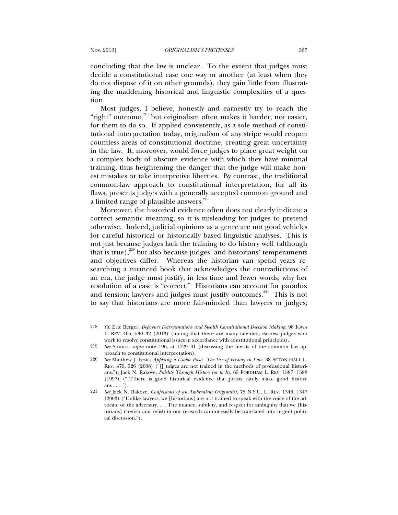concluding that the law is unclear. To the extent that judges must decide a constitutional case one way or another (at least when they do not dispose of it on other grounds), they gain little from illustrating the maddening historical and linguistic complexities of a question.

Most judges, I believe, honestly and earnestly try to reach the "right" outcome,<sup>218</sup> but originalism often makes it harder, not easier, for them to do so. If applied consistently, as a sole method of constitutional interpretation today, originalism of any stripe would reopen countless areas of constitutional doctrine, creating great uncertainty in the law. It, moreover, would force judges to place great weight on a complex body of obscure evidence with which they have minimal training, thus heightening the danger that the judge will make honest mistakes or take interpretive liberties. By contrast, the traditional common-law approach to constitutional interpretation, for all its flaws, presents judges with a generally accepted common ground and a limited range of plausible answers.<sup>219</sup>

Moreover, the historical evidence often does not clearly indicate a correct semantic meaning, so it is misleading for judges to pretend otherwise. Indeed, judicial opinions as a genre are not good vehicles for careful historical or historically based linguistic analyses. This is not just because judges lack the training to do history well (although that is true),<sup>220</sup> but also because judges' and historians' temperaments and objectives differ. Whereas the historian can spend years researching a nuanced book that acknowledges the contradictions of an era, the judge must justify, in less time and fewer words, why her resolution of a case is "correct." Historians can account for paradox and tension; lawyers and judges must justify outcomes.<sup>221</sup> This is not to say that historians are more fair-minded than lawyers or judges;

<sup>218</sup> *Cf.* Eric Berger, *Deference Determinations and Stealth Constitutional Decision Making*, 98 IOWA L. REV. 465, 530–32 (2013) (noting that there are many talented, earnest judges who work to resolve constitutional issues in accordance with constitutional principles).

<sup>219</sup> *See* Strauss, *supra* note 196, at 1729–31 (discussing the merits of the common law approach to constitutional interpretation).

<sup>220</sup> *See* Matthew J. Festa, *Applying a Usable Past: The Use of History in Law*, 38 SETON HALL L. REV. 479, 526 (2008) ("[J]udges are not trained in the methods of professional historians."); Jack N. Rakove, *Fidelity Through History (or to It)*, 65 FORDHAM L. REV. 1587, 1588 (1997) ("[T]here is good historical evidence that jurists rarely make good historians  $\dots$ .").

<sup>221</sup> *See* Jack N. Rakove, *Confessions of an Ambivalent Originalist*, 78 N.Y.U. L. REV. 1346, 1347 (2003) ("Unlike lawyers, we [historians] are not trained to speak with the voice of the advocate or the adversary. . . . The nuance, subtlety, and respect for ambiguity that we [historians] cherish and relish in our research cannot easily be translated into urgent political discussion.").